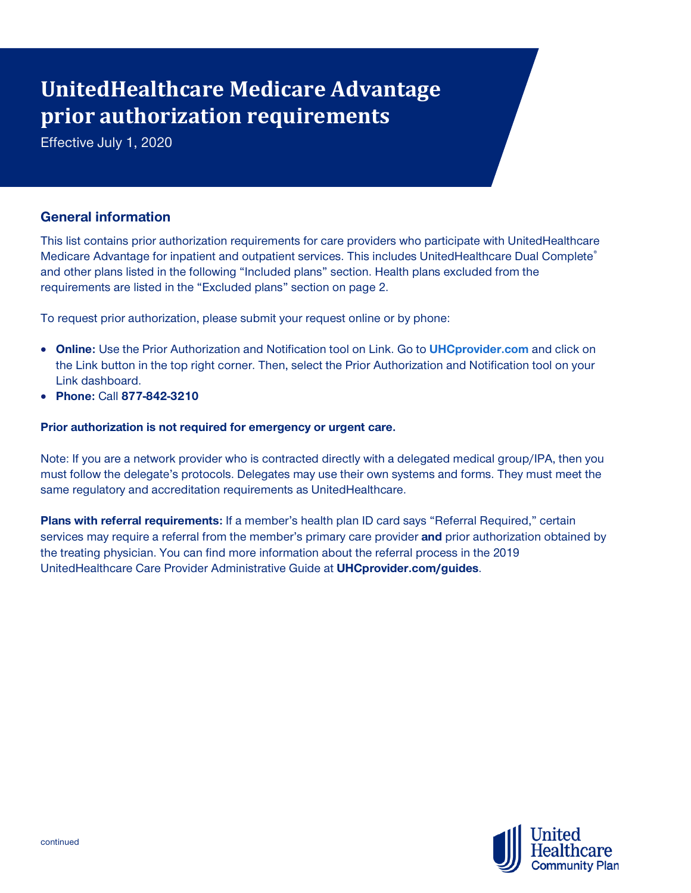# **UnitedHealthcare Medicare Advantage prior authorization requirements**

Effective July 1, 2020

# **General information**

This list contains prior authorization requirements for care providers who participate with UnitedHealthcare Medicare Advantage for inpatient and outpatient services. This includes UnitedHealthcare Dual Complete® and other plans listed in the following "Included plans" section. Health plans excluded from the requirements are listed in the "Excluded plans" section on page 2.

To request prior authorization, please submit your request online or by phone:

- **Online:** Use the Prior Authorization and Notification tool on Link. Go to **[UHCprovider.com](https://www.uhcprovider.com/)** and click on the Link button in the top right corner. Then, select the Prior Authorization and Notification tool on your Link dashboard.
- **Phone:** Call **877-842-3210**

# **Prior authorization is not required for emergency or urgent care.**

Note: If you are a network provider who is contracted directly with a delegated medical group/IPA, then you must follow the delegate's protocols. Delegates may use their own systems and forms. They must meet the same regulatory and accreditation requirements as UnitedHealthcare.

**Plans with referral requirements:** If a member's health plan ID card says "Referral Required," certain services may require a referral from the member's primary care provider and prior authorization obtained by the treating physician. You can find more information about the referral process in the 2019 UnitedHealthcare Care Provider Administrative Guide at **UHCprovider.com/guides**.

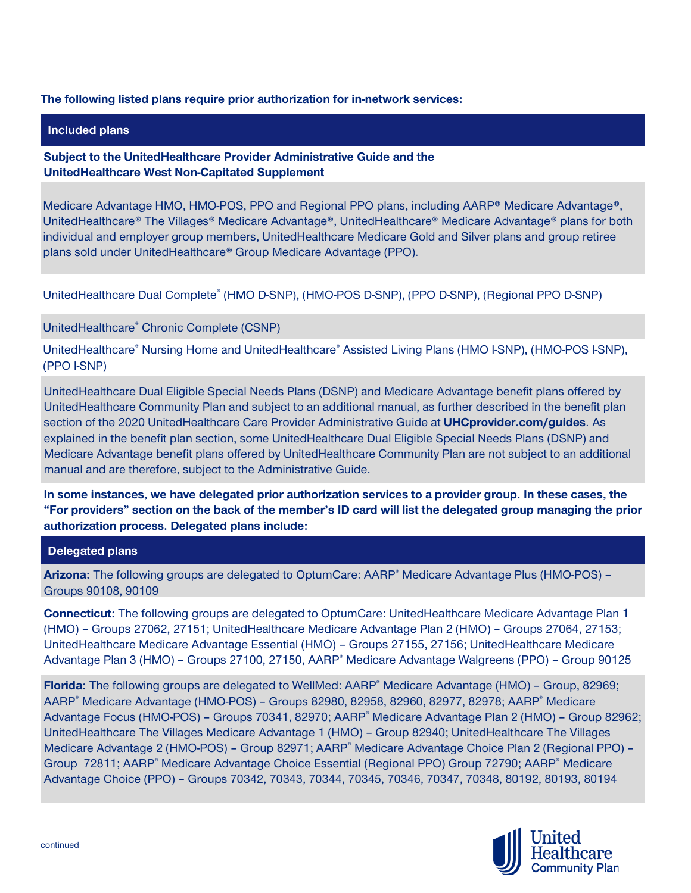## **The following listed plans require prior authorization for in-network services:**

#### **Included plans**

# **Subject to the UnitedHealthcare Provider Administrative Guide and the UnitedHealthcare West Non-Capitated Supplement**

Medicare Advantage HMO, HMO-POS, PPO and Regional PPO plans, including AARP® Medicare Advantage®, UnitedHealthcare® The Villages® Medicare Advantage®, UnitedHealthcare® Medicare Advantage® plans for both individual and employer group members, UnitedHealthcare Medicare Gold and Silver plans and group retiree plans sold under UnitedHealthcare® Group Medicare Advantage (PPO).

UnitedHealthcare Dual Complete® (HMO D-SNP), (HMO-POS D-SNP), (PPO D-SNP), (Regional PPO D-SNP)

#### UnitedHealthcare® Chronic Complete (CSNP)

UnitedHealthcare® Nursing Home and UnitedHealthcare® Assisted Living Plans (HMO I-SNP), (HMO-POS I-SNP), (PPO I-SNP)

UnitedHealthcare Dual Eligible Special Needs Plans (DSNP) and Medicare Advantage benefit plans offered by UnitedHealthcare Community Plan and subject to an additional manual, as further described in the benefit plan section of the 2020 UnitedHealthcare Care Provider Administrative Guide at **UHCprovider.com/guides**. As explained in the benefit plan section, some UnitedHealthcare Dual Eligible Special Needs Plans (DSNP) and Medicare Advantage benefit plans offered by UnitedHealthcare Community Plan are not subject to an additional manual and are therefore, subject to the Administrative Guide.

**In some instances, we have delegated prior authorization services to a provider group. In these cases, the "For providers" section on the back of the member's ID card will list the delegated group managing the prior authorization process. Delegated plans include:**

#### **Delegated plans**

**Arizona:** The following groups are delegated to OptumCare: AARP® Medicare Advantage Plus (HMO-POS) – Groups 90108, 90109

**Connecticut:** The following groups are delegated to OptumCare: UnitedHealthcare Medicare Advantage Plan 1 (HMO) – Groups 27062, 27151; UnitedHealthcare Medicare Advantage Plan 2 (HMO) – Groups 27064, 27153; UnitedHealthcare Medicare Advantage Essential (HMO) – Groups 27155, 27156; UnitedHealthcare Medicare Advantage Plan 3 (HMO) – Groups 27100, 27150, AARP® Medicare Advantage Walgreens (PPO) – Group 90125

Florida: The following groups are delegated to WellMed: AARP<sup>®</sup> Medicare Advantage (HMO) - Group, 82969; AARP® Medicare Advantage (HMO-POS) – Groups 82980, 82958, 82960, 82977, 82978; AARP® Medicare Advantage Focus (HMO-POS) – Groups 70341, 82970; AARP® Medicare Advantage Plan 2 (HMO) – Group 82962; UnitedHealthcare The Villages Medicare Advantage 1 (HMO) – Group 82940; UnitedHealthcare The Villages Medicare Advantage 2 (HMO-POS) – Group 82971; AARP<sup>®</sup> Medicare Advantage Choice Plan 2 (Regional PPO) – Group 72811; AARP<sup>®</sup> Medicare Advantage Choice Essential (Regional PPO) Group 72790; AARP<sup>®</sup> Medicare Advantage Choice (PPO) – Groups 70342, 70343, 70344, 70345, 70346, 70347, 70348, 80192, 80193, 80194

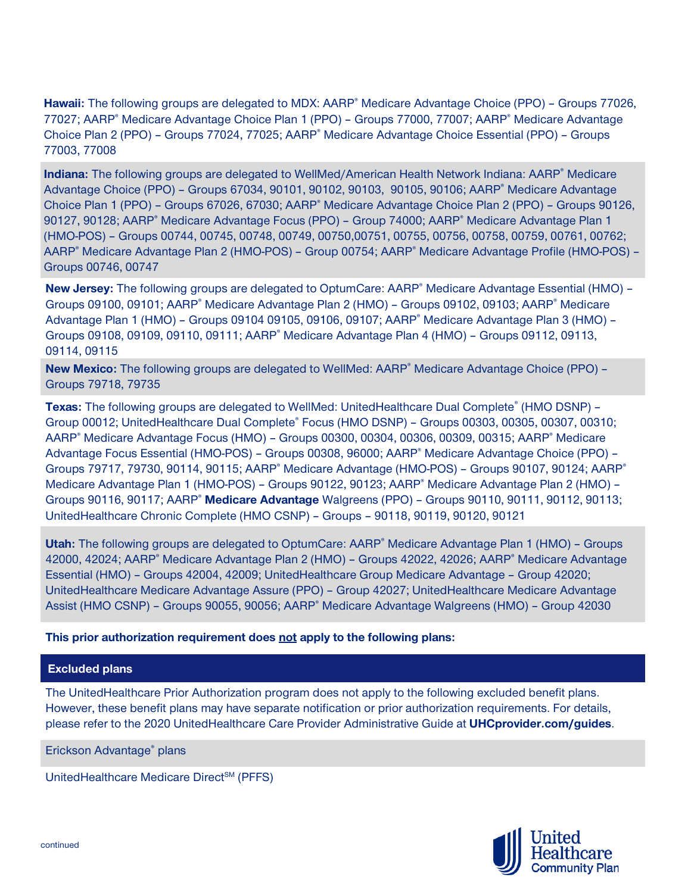**Hawaii:** The following groups are delegated to MDX: AARP<sup>®</sup> Medicare Advantage Choice (PPO) – Groups 77026, 77027; AARP® Medicare Advantage Choice Plan 1 (PPO) – Groups 77000, 77007; AARP® Medicare Advantage Choice Plan 2 (PPO) – Groups 77024, 77025; AARP® Medicare Advantage Choice Essential (PPO) – Groups 77003, 77008

**Indiana:** The following groups are delegated to WellMed/American Health Network Indiana: AARP<sup>®</sup> Medicare Advantage Choice (PPO) – Groups 67034, 90101, 90102, 90103, 90105, 90106; AARP® Medicare Advantage Choice Plan 1 (PPO) – Groups 67026, 67030; AARP® Medicare Advantage Choice Plan 2 (PPO) – Groups 90126, 90127, 90128; AARP® Medicare Advantage Focus (PPO) – Group 74000; AARP® Medicare Advantage Plan 1 (HMO-POS) – Groups 00744, 00745, 00748, 00749, 00750,00751, 00755, 00756, 00758, 00759, 00761, 00762; AARP® Medicare Advantage Plan 2 (HMO-POS) – Group 00754; AARP® Medicare Advantage Profile (HMO-POS) – Groups 00746, 00747

**New Jersey:** The following groups are delegated to OptumCare: AARP® Medicare Advantage Essential (HMO) – Groups 09100, 09101; AARP® Medicare Advantage Plan 2 (HMO) - Groups 09102, 09103; AARP® Medicare Advantage Plan 1 (HMO) – Groups 09104 09105, 09106, 09107; AARP® Medicare Advantage Plan 3 (HMO) – Groups 09108, 09109, 09110, 09111; AARP® Medicare Advantage Plan 4 (HMO) – Groups 09112, 09113, 09114, 09115

**New Mexico:** The following groups are delegated to WellMed: AARP<sup>®</sup> Medicare Advantage Choice (PPO) – Groups 79718, 79735

**Texas:** The following groups are delegated to WellMed: UnitedHealthcare Dual Complete® (HMO DSNP) – Group 00012; UnitedHealthcare Dual Complete® Focus (HMO DSNP) – Groups 00303, 00305, 00307, 00310; AARP® Medicare Advantage Focus (HMO) – Groups 00300, 00304, 00306, 00309, 00315; AARP® Medicare Advantage Focus Essential (HMO-POS) – Groups 00308, 96000; AARP® Medicare Advantage Choice (PPO) – Groups 79717, 79730, 90114, 90115; AARP<sup>®</sup> Medicare Advantage (HMO-POS) – Groups 90107, 90124; AARP<sup>®</sup> Medicare Advantage Plan 1 (HMO-POS) – Groups 90122, 90123; AARP<sup>®</sup> Medicare Advantage Plan 2 (HMO) – Groups 90116, 90117; AARP® **Medicare Advantage** Walgreens (PPO) – Groups 90110, 90111, 90112, 90113; UnitedHealthcare Chronic Complete (HMO CSNP) – Groups – 90118, 90119, 90120, 90121

**Utah:** The following groups are delegated to OptumCare: AARP® Medicare Advantage Plan 1 (HMO) – Groups 42000, 42024; AARP® Medicare Advantage Plan 2 (HMO) – Groups 42022, 42026; AARP® Medicare Advantage Essential (HMO) – Groups 42004, 42009; UnitedHealthcare Group Medicare Advantage – Group 42020; UnitedHealthcare Medicare Advantage Assure (PPO) – Group 42027; UnitedHealthcare Medicare Advantage Assist (HMO CSNP) – Groups 90055, 90056; AARP® Medicare Advantage Walgreens (HMO) – Group 42030

# **This prior authorization requirement does not apply to the following plans:**

# **Excluded plans**

The UnitedHealthcare Prior Authorization program does not apply to the following excluded benefit plans. However, these benefit plans may have separate notification or prior authorization requirements. For details, please refer to the 2020 UnitedHealthcare Care Provider Administrative Guide at **UHCprovider.com/guides**.

Erickson Advantage® plans

UnitedHealthcare Medicare Direct<sup>SM</sup> (PFFS)

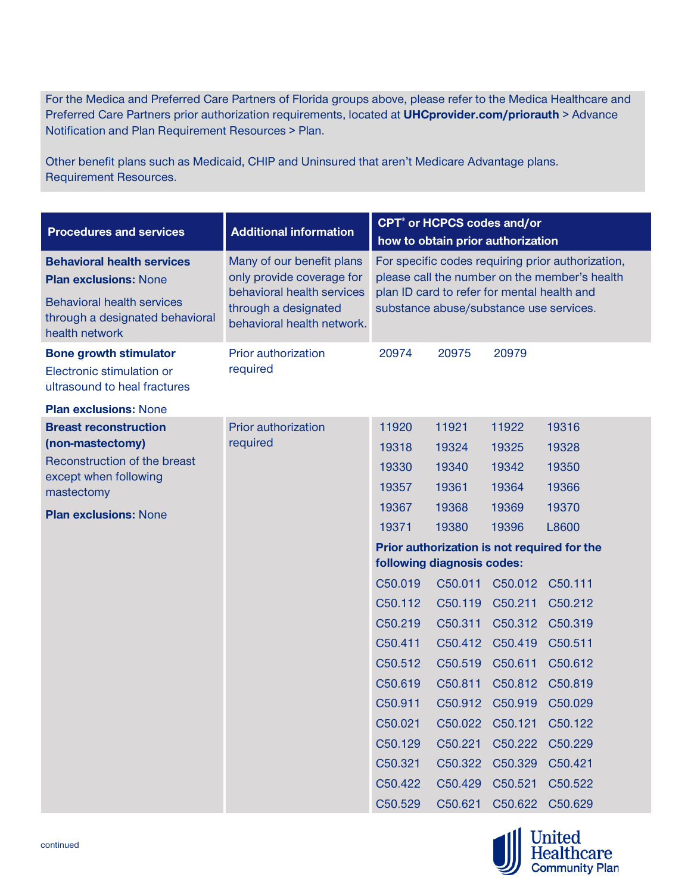For the Medica and Preferred Care Partners of Florida groups above, please refer to the Medica Healthcare and Preferred Care Partners prior authorization requirements, located at **UHCprovider.com/priorauth** > Advance Notification and Plan Requirement Resources > Plan.

Other benefit plans such as Medicaid, CHIP and Uninsured that aren't Medicare Advantage plans. Requirement Resources.

| <b>Procedures and services</b>                                                                                                                              | <b>Additional information</b>                                                                                                              | <b>CPT<sup>®</sup></b> or HCPCS codes and/or<br>how to obtain prior authorization                                                                                                            |         |                 |         |  |  |
|-------------------------------------------------------------------------------------------------------------------------------------------------------------|--------------------------------------------------------------------------------------------------------------------------------------------|----------------------------------------------------------------------------------------------------------------------------------------------------------------------------------------------|---------|-----------------|---------|--|--|
| <b>Behavioral health services</b><br><b>Plan exclusions: None</b><br><b>Behavioral health services</b><br>through a designated behavioral<br>health network | Many of our benefit plans<br>only provide coverage for<br>behavioral health services<br>through a designated<br>behavioral health network. | For specific codes requiring prior authorization,<br>please call the number on the member's health<br>plan ID card to refer for mental health and<br>substance abuse/substance use services. |         |                 |         |  |  |
| <b>Bone growth stimulator</b><br>Electronic stimulation or<br>ultrasound to heal fractures                                                                  | Prior authorization<br>required                                                                                                            | 20974                                                                                                                                                                                        | 20975   | 20979           |         |  |  |
| <b>Plan exclusions: None</b>                                                                                                                                |                                                                                                                                            |                                                                                                                                                                                              |         |                 |         |  |  |
| <b>Breast reconstruction</b>                                                                                                                                | Prior authorization                                                                                                                        | 11920                                                                                                                                                                                        | 11921   | 11922           | 19316   |  |  |
| (non-mastectomy)                                                                                                                                            | required                                                                                                                                   | 19318                                                                                                                                                                                        | 19324   | 19325           | 19328   |  |  |
| Reconstruction of the breast<br>except when following                                                                                                       |                                                                                                                                            | 19330                                                                                                                                                                                        | 19340   | 19342           | 19350   |  |  |
| mastectomy                                                                                                                                                  |                                                                                                                                            | 19357                                                                                                                                                                                        | 19361   | 19364           | 19366   |  |  |
| <b>Plan exclusions: None</b>                                                                                                                                |                                                                                                                                            | 19367                                                                                                                                                                                        | 19368   | 19369           | 19370   |  |  |
|                                                                                                                                                             |                                                                                                                                            | 19371                                                                                                                                                                                        | 19380   | 19396           | L8600   |  |  |
|                                                                                                                                                             |                                                                                                                                            | Prior authorization is not required for the                                                                                                                                                  |         |                 |         |  |  |
|                                                                                                                                                             |                                                                                                                                            | following diagnosis codes:                                                                                                                                                                   |         |                 |         |  |  |
|                                                                                                                                                             |                                                                                                                                            | C50.019                                                                                                                                                                                      | C50.011 | C50.012         | C50.111 |  |  |
|                                                                                                                                                             |                                                                                                                                            | C50.112                                                                                                                                                                                      | C50.119 | C50.211         | C50.212 |  |  |
|                                                                                                                                                             |                                                                                                                                            | C50.219                                                                                                                                                                                      | C50.311 | C50.312         | C50.319 |  |  |
|                                                                                                                                                             |                                                                                                                                            | C50.411                                                                                                                                                                                      | C50.412 | C50.419         | C50.511 |  |  |
|                                                                                                                                                             |                                                                                                                                            | C50.512                                                                                                                                                                                      | C50.519 | C50.611         | C50.612 |  |  |
|                                                                                                                                                             |                                                                                                                                            | C50.619                                                                                                                                                                                      | C50.811 | C50.812         | C50.819 |  |  |
|                                                                                                                                                             |                                                                                                                                            | C50.911                                                                                                                                                                                      | C50.912 | C50.919         | C50.029 |  |  |
|                                                                                                                                                             |                                                                                                                                            | C50.021                                                                                                                                                                                      | C50.022 | C50.121         | C50.122 |  |  |
|                                                                                                                                                             |                                                                                                                                            | C50.129                                                                                                                                                                                      | C50.221 | C50.222         | C50.229 |  |  |
|                                                                                                                                                             |                                                                                                                                            | C50.321                                                                                                                                                                                      |         | C50.322 C50.329 | C50.421 |  |  |
|                                                                                                                                                             |                                                                                                                                            | C50.422                                                                                                                                                                                      | C50.429 | C50.521         | C50.522 |  |  |
|                                                                                                                                                             |                                                                                                                                            | C50.529                                                                                                                                                                                      | C50.621 | C50.622         | C50.629 |  |  |

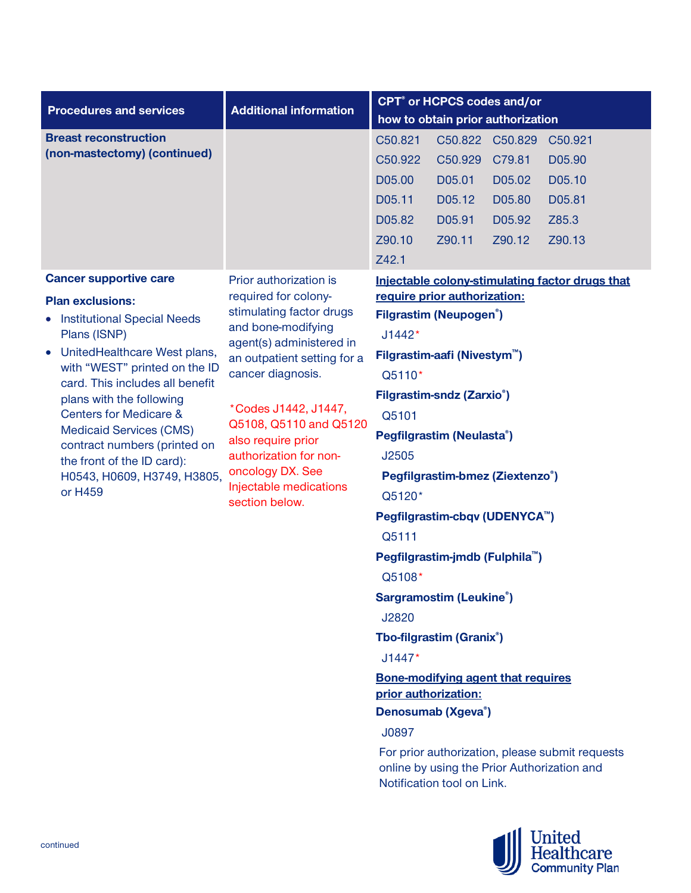|                                                                                                                                                                                                                                                                                                                                                                                                                                                                                                                                 |                                                                                                                                                                                                                                                                                                                                                                                     |                                                                                                                                                           | CPT <sup>®</sup> or HCPCS codes and/or                                                                                                                                                                                                                                                                                                                                                                                                                                                         |                                                                   |                                                                                                             |
|---------------------------------------------------------------------------------------------------------------------------------------------------------------------------------------------------------------------------------------------------------------------------------------------------------------------------------------------------------------------------------------------------------------------------------------------------------------------------------------------------------------------------------|-------------------------------------------------------------------------------------------------------------------------------------------------------------------------------------------------------------------------------------------------------------------------------------------------------------------------------------------------------------------------------------|-----------------------------------------------------------------------------------------------------------------------------------------------------------|------------------------------------------------------------------------------------------------------------------------------------------------------------------------------------------------------------------------------------------------------------------------------------------------------------------------------------------------------------------------------------------------------------------------------------------------------------------------------------------------|-------------------------------------------------------------------|-------------------------------------------------------------------------------------------------------------|
|                                                                                                                                                                                                                                                                                                                                                                                                                                                                                                                                 |                                                                                                                                                                                                                                                                                                                                                                                     |                                                                                                                                                           |                                                                                                                                                                                                                                                                                                                                                                                                                                                                                                |                                                                   |                                                                                                             |
| <b>Procedures and services</b><br><b>Breast reconstruction</b><br>(non-mastectomy) (continued)<br><b>Cancer supportive care</b><br><b>Plan exclusions:</b><br><b>Institutional Special Needs</b><br>Plans (ISNP)<br>UnitedHealthcare West plans,<br>with "WEST" printed on the ID<br>card. This includes all benefit<br>plans with the following<br><b>Centers for Medicare &amp;</b><br><b>Medicaid Services (CMS)</b><br>contract numbers (printed on<br>the front of the ID card):<br>H0543, H0609, H3749, H3805,<br>or H459 | <b>Additional information</b><br>Prior authorization is<br>required for colony-<br>stimulating factor drugs<br>and bone-modifying<br>agent(s) administered in<br>an outpatient setting for a<br>cancer diagnosis.<br>*Codes J1442, J1447,<br>Q5108, Q5110 and Q5120<br>also require prior<br>authorization for non-<br>oncology DX. See<br>Injectable medications<br>section below. | C50.821<br>C50.922<br>D05.00<br>D05.11<br>D05.82<br>Z90.10<br>Z42.1<br>J1442*<br>Q5110*<br>Q5101<br>J2505<br>Q5120*<br>Q5111<br>Q5108*<br>J2820<br>J1447* | how to obtain prior authorization<br>C50.929<br>D05.01<br>D05.12<br>D05.91<br>Z90.11<br>require prior authorization:<br><b>Filgrastim (Neupogen<sup>®</sup>)</b><br>Filgrastim-aafi (Nivestym <sup>™</sup> )<br>Filgrastim-sndz (Zarxio <sup>®</sup> )<br>Pegfilgrastim (Neulasta®)<br>Pegfilgrastim-bmez (Ziextenzo®)<br>Pegfilgrastim-cbqv (UDENYCA <sup>™</sup> )<br>Pegfilgrastim-jmdb (Fulphila <sup>™</sup> )<br><b>Sargramostim (Leukine®)</b><br>Tbo-filgrastim (Granix <sup>®</sup> ) | C50.822 C50.829<br>C79.81<br>D05.02<br>D05.80<br>D05.92<br>Z90.12 | C50.921<br>D05.90<br>D05.10<br>D05.81<br>Z85.3<br>Z90.13<br>Injectable colony-stimulating factor drugs that |
|                                                                                                                                                                                                                                                                                                                                                                                                                                                                                                                                 |                                                                                                                                                                                                                                                                                                                                                                                     |                                                                                                                                                           |                                                                                                                                                                                                                                                                                                                                                                                                                                                                                                |                                                                   |                                                                                                             |
|                                                                                                                                                                                                                                                                                                                                                                                                                                                                                                                                 |                                                                                                                                                                                                                                                                                                                                                                                     |                                                                                                                                                           |                                                                                                                                                                                                                                                                                                                                                                                                                                                                                                |                                                                   |                                                                                                             |
|                                                                                                                                                                                                                                                                                                                                                                                                                                                                                                                                 |                                                                                                                                                                                                                                                                                                                                                                                     |                                                                                                                                                           |                                                                                                                                                                                                                                                                                                                                                                                                                                                                                                |                                                                   |                                                                                                             |
|                                                                                                                                                                                                                                                                                                                                                                                                                                                                                                                                 |                                                                                                                                                                                                                                                                                                                                                                                     |                                                                                                                                                           |                                                                                                                                                                                                                                                                                                                                                                                                                                                                                                |                                                                   |                                                                                                             |
|                                                                                                                                                                                                                                                                                                                                                                                                                                                                                                                                 |                                                                                                                                                                                                                                                                                                                                                                                     | prior authorization:                                                                                                                                      | <b>Bone-modifying agent that requires</b>                                                                                                                                                                                                                                                                                                                                                                                                                                                      |                                                                   |                                                                                                             |
|                                                                                                                                                                                                                                                                                                                                                                                                                                                                                                                                 |                                                                                                                                                                                                                                                                                                                                                                                     |                                                                                                                                                           | Denosumab (Xgeva®)                                                                                                                                                                                                                                                                                                                                                                                                                                                                             |                                                                   |                                                                                                             |
|                                                                                                                                                                                                                                                                                                                                                                                                                                                                                                                                 |                                                                                                                                                                                                                                                                                                                                                                                     | J0897                                                                                                                                                     |                                                                                                                                                                                                                                                                                                                                                                                                                                                                                                |                                                                   |                                                                                                             |
|                                                                                                                                                                                                                                                                                                                                                                                                                                                                                                                                 |                                                                                                                                                                                                                                                                                                                                                                                     |                                                                                                                                                           | Notification tool on Link.                                                                                                                                                                                                                                                                                                                                                                                                                                                                     |                                                                   | For prior authorization, please submit requests<br>online by using the Prior Authorization and              |

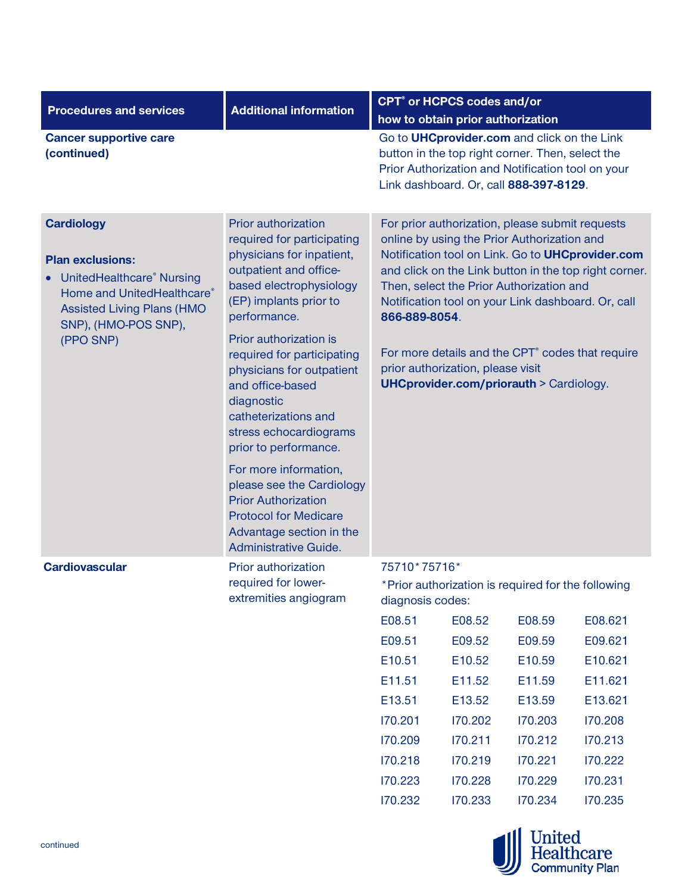| <b>Procedures and services</b>                                                                                                                                                    | <b>Additional information</b>                                                                                                                                                                                                                                                                                                                                                                            |                                                                                                                                                                                                                                                                                                                                                                                                                                                                                          | <b>CPT<sup>®</sup></b> or HCPCS codes and/or       |         |         |  |  |
|-----------------------------------------------------------------------------------------------------------------------------------------------------------------------------------|----------------------------------------------------------------------------------------------------------------------------------------------------------------------------------------------------------------------------------------------------------------------------------------------------------------------------------------------------------------------------------------------------------|------------------------------------------------------------------------------------------------------------------------------------------------------------------------------------------------------------------------------------------------------------------------------------------------------------------------------------------------------------------------------------------------------------------------------------------------------------------------------------------|----------------------------------------------------|---------|---------|--|--|
|                                                                                                                                                                                   |                                                                                                                                                                                                                                                                                                                                                                                                          |                                                                                                                                                                                                                                                                                                                                                                                                                                                                                          | how to obtain prior authorization                  |         |         |  |  |
| <b>Cancer supportive care</b><br>(continued)                                                                                                                                      |                                                                                                                                                                                                                                                                                                                                                                                                          | Go to <b>UHCprovider.com</b> and click on the Link<br>button in the top right corner. Then, select the<br>Prior Authorization and Notification tool on your<br>Link dashboard. Or, call 888-397-8129.                                                                                                                                                                                                                                                                                    |                                                    |         |         |  |  |
| <b>Cardiology</b><br><b>Plan exclusions:</b><br>UnitedHealthcare® Nursing<br>Home and UnitedHealthcare®<br><b>Assisted Living Plans (HMO</b><br>SNP), (HMO-POS SNP),<br>(PPO SNP) | Prior authorization<br>required for participating<br>physicians for inpatient,<br>outpatient and office-<br>based electrophysiology<br>(EP) implants prior to<br>performance.<br>Prior authorization is<br>required for participating<br>physicians for outpatient<br>and office-based<br>diagnostic<br>catheterizations and<br>stress echocardiograms<br>prior to performance.<br>For more information, | For prior authorization, please submit requests<br>online by using the Prior Authorization and<br>Notification tool on Link. Go to UHCprovider.com<br>and click on the Link button in the top right corner.<br>Then, select the Prior Authorization and<br>Notification tool on your Link dashboard. Or, call<br>866-889-8054.<br>For more details and the CPT <sup>®</sup> codes that require<br>prior authorization, please visit<br><b>UHCprovider.com/priorauth &gt; Cardiology.</b> |                                                    |         |         |  |  |
|                                                                                                                                                                                   | please see the Cardiology<br><b>Prior Authorization</b><br><b>Protocol for Medicare</b><br>Advantage section in the<br>Administrative Guide.                                                                                                                                                                                                                                                             |                                                                                                                                                                                                                                                                                                                                                                                                                                                                                          |                                                    |         |         |  |  |
| <b>Cardiovascular</b>                                                                                                                                                             | Prior authorization<br>required for lower-<br>extremities angiogram                                                                                                                                                                                                                                                                                                                                      | 75710*75716*<br>diagnosis codes:                                                                                                                                                                                                                                                                                                                                                                                                                                                         | *Prior authorization is required for the following |         |         |  |  |
|                                                                                                                                                                                   |                                                                                                                                                                                                                                                                                                                                                                                                          | E08.51                                                                                                                                                                                                                                                                                                                                                                                                                                                                                   | E08.52                                             | E08.59  | E08.621 |  |  |
|                                                                                                                                                                                   |                                                                                                                                                                                                                                                                                                                                                                                                          | E09.51                                                                                                                                                                                                                                                                                                                                                                                                                                                                                   | E09.52                                             | E09.59  | E09.621 |  |  |
|                                                                                                                                                                                   |                                                                                                                                                                                                                                                                                                                                                                                                          | E10.51                                                                                                                                                                                                                                                                                                                                                                                                                                                                                   | E10.52                                             | E10.59  | E10.621 |  |  |
|                                                                                                                                                                                   |                                                                                                                                                                                                                                                                                                                                                                                                          | E11.51                                                                                                                                                                                                                                                                                                                                                                                                                                                                                   | E11.52                                             | E11.59  | E11.621 |  |  |
|                                                                                                                                                                                   |                                                                                                                                                                                                                                                                                                                                                                                                          | E13.51                                                                                                                                                                                                                                                                                                                                                                                                                                                                                   | E13.52                                             | E13.59  | E13.621 |  |  |
|                                                                                                                                                                                   |                                                                                                                                                                                                                                                                                                                                                                                                          | 170.201                                                                                                                                                                                                                                                                                                                                                                                                                                                                                  | 170.202                                            | 170.203 | 170.208 |  |  |
|                                                                                                                                                                                   |                                                                                                                                                                                                                                                                                                                                                                                                          | 170.209                                                                                                                                                                                                                                                                                                                                                                                                                                                                                  | 170.211                                            | 170.212 | 170.213 |  |  |
|                                                                                                                                                                                   |                                                                                                                                                                                                                                                                                                                                                                                                          | 170.218                                                                                                                                                                                                                                                                                                                                                                                                                                                                                  | 170.219                                            | 170.221 | 170.222 |  |  |
|                                                                                                                                                                                   |                                                                                                                                                                                                                                                                                                                                                                                                          | 170.223                                                                                                                                                                                                                                                                                                                                                                                                                                                                                  | 170.228                                            | 170.229 | 170.231 |  |  |
|                                                                                                                                                                                   |                                                                                                                                                                                                                                                                                                                                                                                                          | 170.232                                                                                                                                                                                                                                                                                                                                                                                                                                                                                  | 170.233                                            | 170.234 | 170.235 |  |  |

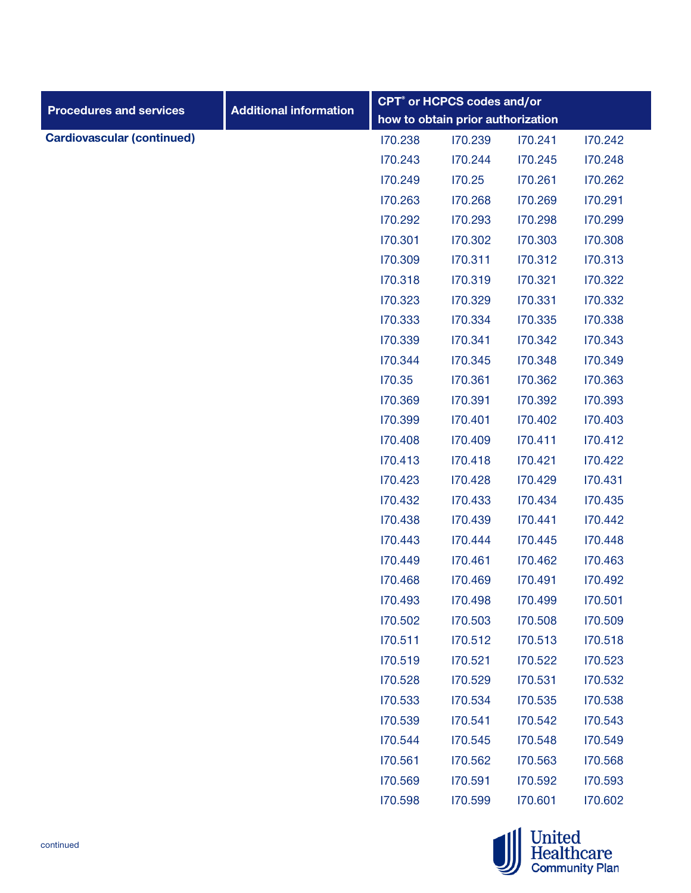| <b>Procedures and services</b>    | <b>Additional information</b> | <b>CPT<sup>®</sup></b> or HCPCS codes and/or |                                   |         |         |  |  |
|-----------------------------------|-------------------------------|----------------------------------------------|-----------------------------------|---------|---------|--|--|
|                                   |                               |                                              | how to obtain prior authorization |         |         |  |  |
| <b>Cardiovascular (continued)</b> |                               | 170.238                                      | 170.239                           | 170.241 | 170.242 |  |  |
|                                   |                               | 170.243                                      | 170.244                           | 170.245 | 170.248 |  |  |
|                                   |                               | 170.249                                      | 170.25                            | 170.261 | 170.262 |  |  |
|                                   |                               | 170.263                                      | 170.268                           | 170.269 | 170.291 |  |  |
|                                   |                               | 170.292                                      | 170.293                           | 170.298 | 170.299 |  |  |
|                                   |                               | 170.301                                      | 170.302                           | 170.303 | 170.308 |  |  |
|                                   |                               | 170.309                                      | 170.311                           | 170.312 | 170.313 |  |  |
|                                   |                               | 170.318                                      | 170.319                           | 170.321 | 170.322 |  |  |
|                                   |                               | 170.323                                      | 170.329                           | 170.331 | 170.332 |  |  |
|                                   |                               | 170.333                                      | 170.334                           | 170.335 | 170.338 |  |  |
|                                   |                               | 170.339                                      | 170.341                           | 170.342 | 170.343 |  |  |
|                                   |                               | 170.344                                      | 170.345                           | 170.348 | 170.349 |  |  |
|                                   |                               | 170.35                                       | 170.361                           | 170.362 | 170.363 |  |  |
|                                   |                               | 170.369                                      | 170.391                           | 170.392 | 170.393 |  |  |
|                                   |                               | 170.399                                      | 170.401                           | 170.402 | 170.403 |  |  |
|                                   |                               | 170.408                                      | 170.409                           | 170.411 | 170.412 |  |  |
|                                   |                               | 170.413                                      | 170.418                           | 170.421 | 170.422 |  |  |
|                                   |                               | 170.423                                      | 170.428                           | 170.429 | 170.431 |  |  |
|                                   |                               | 170.432                                      | 170.433                           | 170.434 | 170.435 |  |  |
|                                   |                               | 170.438                                      | 170.439                           | 170.441 | 170.442 |  |  |
|                                   |                               | 170.443                                      | 170.444                           | 170.445 | 170.448 |  |  |
|                                   |                               | 170.449                                      | 170.461                           | 170.462 | 170.463 |  |  |
|                                   |                               | 170.468                                      | 170.469                           | 170.491 | 170.492 |  |  |
|                                   |                               | 170.493                                      | 170.498                           | 170.499 | 170.501 |  |  |
|                                   |                               | 170.502                                      | 170.503                           | 170.508 | 170.509 |  |  |
|                                   |                               | 170.511                                      | 170.512                           | 170.513 | 170.518 |  |  |
|                                   |                               | 170.519                                      | 170.521                           | 170.522 | 170.523 |  |  |
|                                   |                               | 170.528                                      | 170.529                           | 170.531 | 170.532 |  |  |
|                                   |                               | 170.533                                      | 170.534                           | 170.535 | 170.538 |  |  |
|                                   |                               | 170.539                                      | 170.541                           | 170.542 | 170.543 |  |  |
|                                   |                               | 170.544                                      | 170.545                           | 170.548 | 170.549 |  |  |
|                                   |                               | 170.561                                      | 170.562                           | 170.563 | 170.568 |  |  |
|                                   |                               | 170.569                                      | 170.591                           | 170.592 | 170.593 |  |  |
|                                   |                               | 170.598                                      | 170.599                           | 170.601 | 170.602 |  |  |
|                                   |                               |                                              |                                   |         |         |  |  |

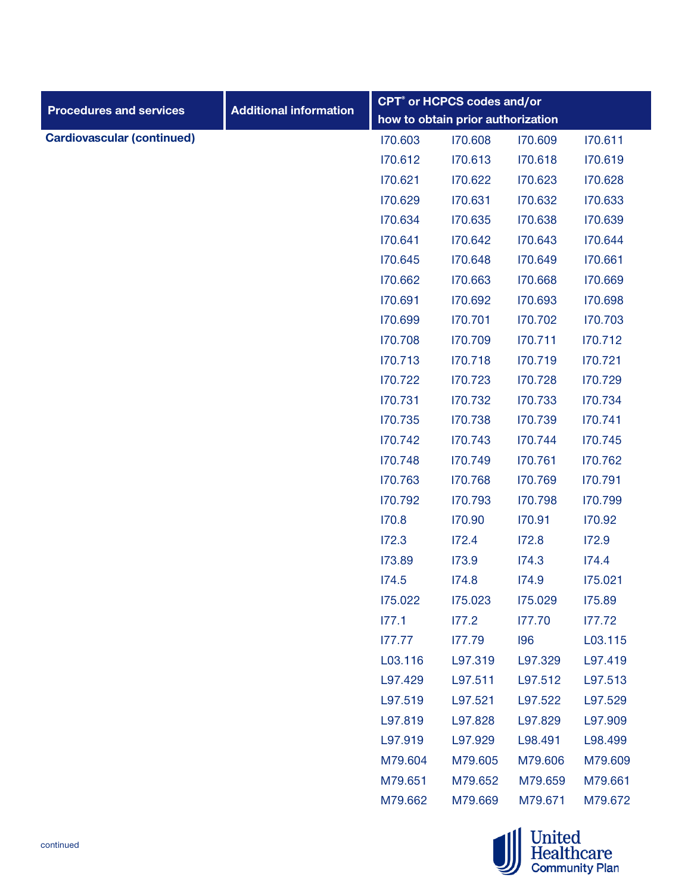|                                   |                               | CPT <sup>®</sup> or HCPCS codes and/or |                                   |         |         |  |  |
|-----------------------------------|-------------------------------|----------------------------------------|-----------------------------------|---------|---------|--|--|
| <b>Procedures and services</b>    | <b>Additional information</b> |                                        | how to obtain prior authorization |         |         |  |  |
| <b>Cardiovascular (continued)</b> |                               | 170.603                                | 170.608                           | 170.609 | 170.611 |  |  |
|                                   |                               | 170.612                                | 170.613                           | 170.618 | 170.619 |  |  |
|                                   |                               | 170.621                                | 170.622                           | 170.623 | 170.628 |  |  |
|                                   |                               | 170.629                                | 170.631                           | 170.632 | 170.633 |  |  |
|                                   |                               | 170.634                                | 170.635                           | 170.638 | 170.639 |  |  |
|                                   |                               | 170.641                                | 170.642                           | 170.643 | 170.644 |  |  |
|                                   |                               | 170.645                                | 170.648                           | 170.649 | 170.661 |  |  |
|                                   |                               | 170.662                                | 170.663                           | 170.668 | 170.669 |  |  |
|                                   |                               | 170.691                                | 170.692                           | 170.693 | 170.698 |  |  |
|                                   |                               | 170.699                                | 170.701                           | 170.702 | 170.703 |  |  |
|                                   |                               | 170.708                                | 170.709                           | 170.711 | 170.712 |  |  |
|                                   |                               | 170.713                                | 170.718                           | 170.719 | 170.721 |  |  |
|                                   |                               | 170.722                                | 170.723                           | 170.728 | 170.729 |  |  |
|                                   |                               | 170.731                                | 170.732                           | 170.733 | 170.734 |  |  |
|                                   |                               | 170.735                                | 170.738                           | 170.739 | 170.741 |  |  |
|                                   |                               | 170.742                                | 170.743                           | 170.744 | 170.745 |  |  |
|                                   |                               | 170.748                                | 170.749                           | 170.761 | 170.762 |  |  |
|                                   |                               | 170.763                                | 170.768                           | 170.769 | 170.791 |  |  |
|                                   |                               | 170.792                                | 170.793                           | 170.798 | 170.799 |  |  |
|                                   |                               | 170.8                                  | 170.90                            | 170.91  | 170.92  |  |  |
|                                   |                               | 172.3                                  | 172.4                             | 172.8   | 172.9   |  |  |
|                                   |                               | 173.89                                 | 173.9                             | 174.3   | 174.4   |  |  |
|                                   |                               | 174.5                                  | 174.8                             | 174.9   | 175.021 |  |  |
|                                   |                               | 175.022                                | 175.023                           | 175.029 | 175.89  |  |  |
|                                   |                               | 177.1                                  | 177.2                             | 177.70  | 177.72  |  |  |
|                                   |                               | 177.77                                 | 177.79                            | 196     | L03.115 |  |  |
|                                   |                               | L03.116                                | L97.319                           | L97.329 | L97.419 |  |  |
|                                   |                               | L97.429                                | L97.511                           | L97.512 | L97.513 |  |  |
|                                   |                               | L97.519                                | L97.521                           | L97.522 | L97.529 |  |  |
|                                   |                               | L97.819                                | L97.828                           | L97.829 | L97.909 |  |  |
|                                   |                               | L97.919                                | L97.929                           | L98.491 | L98.499 |  |  |
|                                   |                               | M79.604                                | M79.605                           | M79.606 | M79.609 |  |  |
|                                   |                               | M79.651                                | M79.652                           | M79.659 | M79.661 |  |  |
|                                   |                               | M79.662                                | M79.669                           | M79.671 | M79.672 |  |  |
|                                   |                               |                                        |                                   |         |         |  |  |

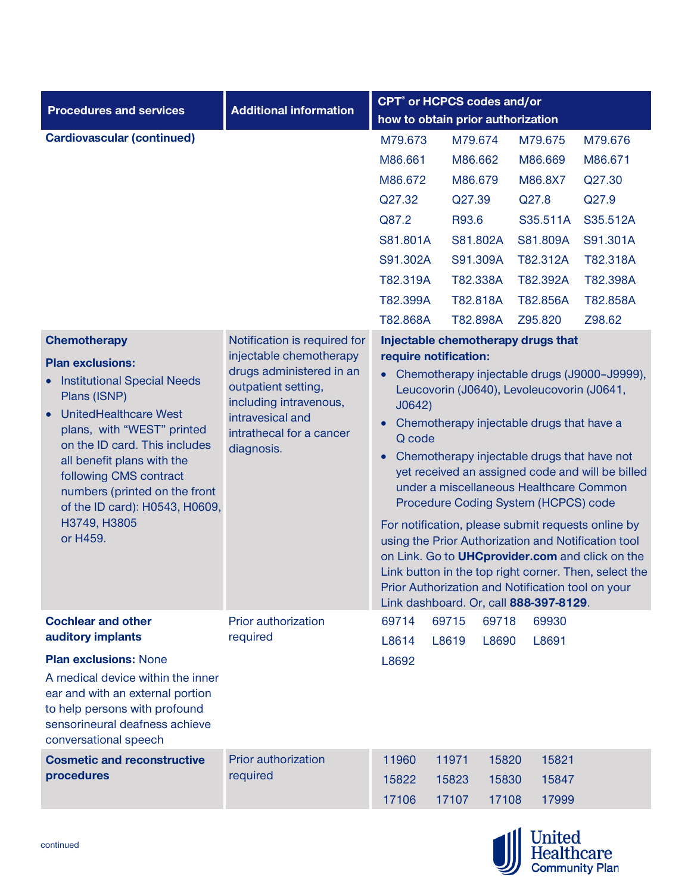|                                                                                                                                                                                                                                                                                                                                                                  |                                                                                                                                                                                                    |                                                                                                                                                                                                                                                                                                                                                                                                                                                                                                                                                                                                                                                                                          | <b>CPT<sup>®</sup></b> or HCPCS codes and/or |       |                                                 |          |  |
|------------------------------------------------------------------------------------------------------------------------------------------------------------------------------------------------------------------------------------------------------------------------------------------------------------------------------------------------------------------|----------------------------------------------------------------------------------------------------------------------------------------------------------------------------------------------------|------------------------------------------------------------------------------------------------------------------------------------------------------------------------------------------------------------------------------------------------------------------------------------------------------------------------------------------------------------------------------------------------------------------------------------------------------------------------------------------------------------------------------------------------------------------------------------------------------------------------------------------------------------------------------------------|----------------------------------------------|-------|-------------------------------------------------|----------|--|
| <b>Procedures and services</b>                                                                                                                                                                                                                                                                                                                                   | <b>Additional information</b>                                                                                                                                                                      |                                                                                                                                                                                                                                                                                                                                                                                                                                                                                                                                                                                                                                                                                          | how to obtain prior authorization            |       |                                                 |          |  |
| <b>Cardiovascular (continued)</b>                                                                                                                                                                                                                                                                                                                                |                                                                                                                                                                                                    | M79.673                                                                                                                                                                                                                                                                                                                                                                                                                                                                                                                                                                                                                                                                                  | M79.674                                      |       | M79.675                                         | M79.676  |  |
|                                                                                                                                                                                                                                                                                                                                                                  |                                                                                                                                                                                                    | M86.661                                                                                                                                                                                                                                                                                                                                                                                                                                                                                                                                                                                                                                                                                  | M86.662                                      |       | M86.669                                         | M86.671  |  |
|                                                                                                                                                                                                                                                                                                                                                                  |                                                                                                                                                                                                    | M86.672                                                                                                                                                                                                                                                                                                                                                                                                                                                                                                                                                                                                                                                                                  | M86.679                                      |       | M86.8X7                                         | Q27.30   |  |
|                                                                                                                                                                                                                                                                                                                                                                  |                                                                                                                                                                                                    | Q27.32                                                                                                                                                                                                                                                                                                                                                                                                                                                                                                                                                                                                                                                                                   | Q27.39                                       |       | Q27.8                                           | Q27.9    |  |
|                                                                                                                                                                                                                                                                                                                                                                  |                                                                                                                                                                                                    | Q87.2                                                                                                                                                                                                                                                                                                                                                                                                                                                                                                                                                                                                                                                                                    | R93.6                                        |       | S35.511A                                        | S35.512A |  |
|                                                                                                                                                                                                                                                                                                                                                                  |                                                                                                                                                                                                    | S81.801A                                                                                                                                                                                                                                                                                                                                                                                                                                                                                                                                                                                                                                                                                 | S81.802A                                     |       | S81.809A                                        | S91.301A |  |
|                                                                                                                                                                                                                                                                                                                                                                  |                                                                                                                                                                                                    | S91.302A                                                                                                                                                                                                                                                                                                                                                                                                                                                                                                                                                                                                                                                                                 | S91.309A                                     |       | T82.312A                                        | T82.318A |  |
|                                                                                                                                                                                                                                                                                                                                                                  |                                                                                                                                                                                                    | T82.319A                                                                                                                                                                                                                                                                                                                                                                                                                                                                                                                                                                                                                                                                                 | T82.338A                                     |       | T82.392A                                        | T82.398A |  |
|                                                                                                                                                                                                                                                                                                                                                                  |                                                                                                                                                                                                    | T82.399A                                                                                                                                                                                                                                                                                                                                                                                                                                                                                                                                                                                                                                                                                 | T82.818A                                     |       | T82.856A                                        | T82.858A |  |
|                                                                                                                                                                                                                                                                                                                                                                  |                                                                                                                                                                                                    | T82.868A                                                                                                                                                                                                                                                                                                                                                                                                                                                                                                                                                                                                                                                                                 |                                              |       | Z95.820                                         | Z98.62   |  |
| <b>Chemotherapy</b><br><b>Plan exclusions:</b><br><b>Institutional Special Needs</b><br>$\bullet$<br>Plans (ISNP)<br>UnitedHealthcare West<br>plans, with "WEST" printed<br>on the ID card. This includes<br>all benefit plans with the<br>following CMS contract<br>numbers (printed on the front<br>of the ID card): H0543, H0609,<br>H3749, H3805<br>or H459. | Notification is required for<br>injectable chemotherapy<br>drugs administered in an<br>outpatient setting,<br>including intravenous,<br>intravesical and<br>intrathecal for a cancer<br>diagnosis. | T82.898A<br>Injectable chemotherapy drugs that<br>require notification:<br>• Chemotherapy injectable drugs (J9000-J9999),<br>Leucovorin (J0640), Levoleucovorin (J0641,<br>J0642)<br>Chemotherapy injectable drugs that have a<br>$\bullet$<br>Q code<br>Chemotherapy injectable drugs that have not<br>$\bullet$<br>yet received an assigned code and will be billed<br>under a miscellaneous Healthcare Common<br>Procedure Coding System (HCPCS) code<br>For notification, please submit requests online by<br>using the Prior Authorization and Notification tool<br>on Link. Go to <b>UHCprovider.com</b> and click on the<br>Link button in the top right corner. Then, select the |                                              |       |                                                 |          |  |
| <b>Cochlear and other</b>                                                                                                                                                                                                                                                                                                                                        | Prior authorization                                                                                                                                                                                | 69714                                                                                                                                                                                                                                                                                                                                                                                                                                                                                                                                                                                                                                                                                    | 69715                                        | 69718 | Link dashboard. Or, call 888-397-8129.<br>69930 |          |  |
| auditory implants                                                                                                                                                                                                                                                                                                                                                | required                                                                                                                                                                                           | L8614                                                                                                                                                                                                                                                                                                                                                                                                                                                                                                                                                                                                                                                                                    | L8619                                        | L8690 | L8691                                           |          |  |
| <b>Plan exclusions: None</b><br>A medical device within the inner<br>ear and with an external portion<br>to help persons with profound<br>sensorineural deafness achieve<br>conversational speech                                                                                                                                                                |                                                                                                                                                                                                    | L8692                                                                                                                                                                                                                                                                                                                                                                                                                                                                                                                                                                                                                                                                                    |                                              |       |                                                 |          |  |
| <b>Cosmetic and reconstructive</b>                                                                                                                                                                                                                                                                                                                               | <b>Prior authorization</b>                                                                                                                                                                         | 11960                                                                                                                                                                                                                                                                                                                                                                                                                                                                                                                                                                                                                                                                                    | 11971                                        | 15820 | 15821                                           |          |  |
| procedures                                                                                                                                                                                                                                                                                                                                                       | required                                                                                                                                                                                           | 15822                                                                                                                                                                                                                                                                                                                                                                                                                                                                                                                                                                                                                                                                                    | 15823                                        | 15830 | 15847                                           |          |  |
|                                                                                                                                                                                                                                                                                                                                                                  |                                                                                                                                                                                                    | 17106                                                                                                                                                                                                                                                                                                                                                                                                                                                                                                                                                                                                                                                                                    | 17107                                        | 17108 | 17999                                           |          |  |

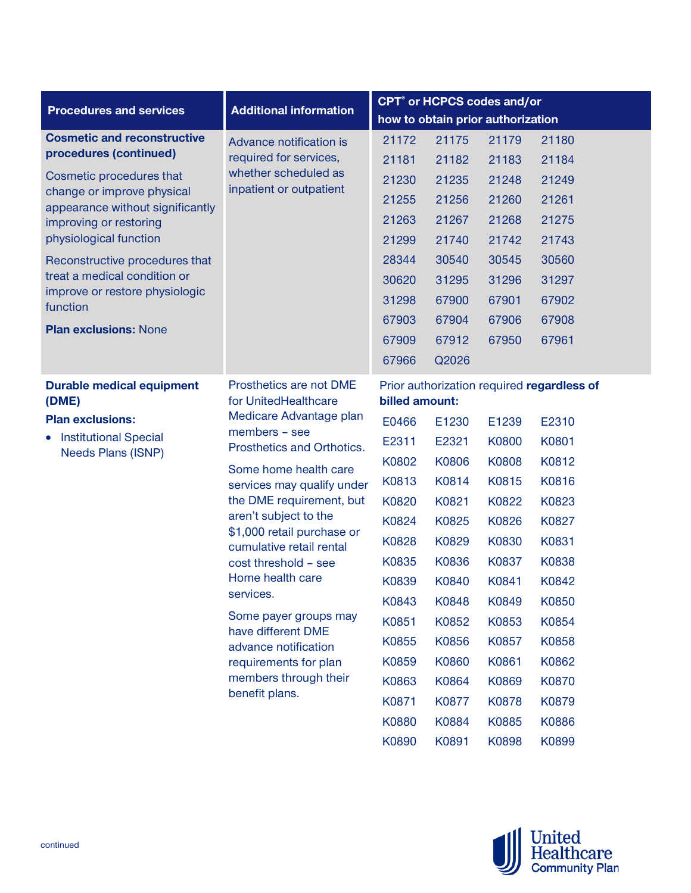|                                                                |                                                        | CPT <sup>®</sup> or HCPCS codes and/or |                                   |                                                              |       |  |  |  |  |
|----------------------------------------------------------------|--------------------------------------------------------|----------------------------------------|-----------------------------------|--------------------------------------------------------------|-------|--|--|--|--|
| <b>Procedures and services</b>                                 | <b>Additional information</b>                          |                                        | how to obtain prior authorization |                                                              |       |  |  |  |  |
| <b>Cosmetic and reconstructive</b>                             | Advance notification is                                | 21172                                  | 21175                             | 21179                                                        | 21180 |  |  |  |  |
| procedures (continued)                                         | required for services,                                 | 21181                                  | 21182                             | 21183                                                        | 21184 |  |  |  |  |
| Cosmetic procedures that                                       | whether scheduled as<br>inpatient or outpatient        | 21230                                  | 21235                             | 21248                                                        | 21249 |  |  |  |  |
| change or improve physical<br>appearance without significantly |                                                        | 21255                                  | 21256                             | 21260                                                        | 21261 |  |  |  |  |
| improving or restoring                                         |                                                        | 21263                                  | 21267                             | 21268                                                        | 21275 |  |  |  |  |
| physiological function                                         |                                                        | 21299                                  | 21740                             | 21742                                                        | 21743 |  |  |  |  |
| Reconstructive procedures that                                 |                                                        | 28344                                  | 30540                             | 30545                                                        | 30560 |  |  |  |  |
| treat a medical condition or                                   |                                                        | 30620                                  | 31295                             | 31296                                                        | 31297 |  |  |  |  |
| improve or restore physiologic<br>function                     |                                                        | 31298                                  | 67900                             | 67901                                                        | 67902 |  |  |  |  |
|                                                                | <b>Plan exclusions: None</b>                           | 67903                                  | 67904                             | 67906                                                        | 67908 |  |  |  |  |
|                                                                |                                                        | 67909                                  | 67912                             | 67950                                                        | 67961 |  |  |  |  |
|                                                                |                                                        | 67966                                  | Q2026                             |                                                              |       |  |  |  |  |
| <b>Durable medical equipment</b><br>(DME)                      | Prosthetics are not DME<br>for UnitedHealthcare        |                                        |                                   | Prior authorization required regardless of<br>billed amount: |       |  |  |  |  |
| <b>Plan exclusions:</b>                                        | Medicare Advantage plan                                | E0466                                  | E1230                             | E1239                                                        | E2310 |  |  |  |  |
| <b>Institutional Special</b><br>$\bullet$                      | members - see<br>Prosthetics and Orthotics.            | E2311                                  | E2321                             | K0800                                                        | K0801 |  |  |  |  |
| Needs Plans (ISNP)                                             |                                                        | K0802                                  | K0806                             | K0808                                                        | K0812 |  |  |  |  |
|                                                                | Some home health care<br>services may qualify under    | K0813                                  | K0814                             | K0815                                                        | K0816 |  |  |  |  |
|                                                                | the DME requirement, but                               | K0820                                  | K0821                             | K0822                                                        | K0823 |  |  |  |  |
|                                                                | aren't subject to the                                  | K0824                                  | K0825                             | K0826                                                        | K0827 |  |  |  |  |
|                                                                | \$1,000 retail purchase or<br>cumulative retail rental | K0828                                  | K0829                             | K0830                                                        | K0831 |  |  |  |  |
|                                                                | cost threshold - see                                   | K0835                                  | K0836                             | K0837                                                        | K0838 |  |  |  |  |
|                                                                | Home health care                                       | K0839                                  | K0840                             | K0841                                                        | K0842 |  |  |  |  |
|                                                                | services.                                              | K0843                                  | K0848                             | K0849                                                        | K0850 |  |  |  |  |
|                                                                | Some payer groups may                                  | K0851                                  | K0852                             | K0853                                                        | K0854 |  |  |  |  |
|                                                                | have different DME<br>advance notification             | K0855                                  | K0856                             | K0857                                                        | K0858 |  |  |  |  |
|                                                                | requirements for plan                                  | K0859                                  | K0860                             | K0861                                                        | K0862 |  |  |  |  |
|                                                                | members through their                                  | K0863                                  | K0864                             | K0869                                                        | K0870 |  |  |  |  |
|                                                                | benefit plans.                                         | K0871                                  | K0877                             | K0878                                                        | K0879 |  |  |  |  |
|                                                                |                                                        | K0880                                  | K0884                             | K0885                                                        | K0886 |  |  |  |  |
|                                                                |                                                        | K0890                                  | K0891                             | K0898                                                        | K0899 |  |  |  |  |

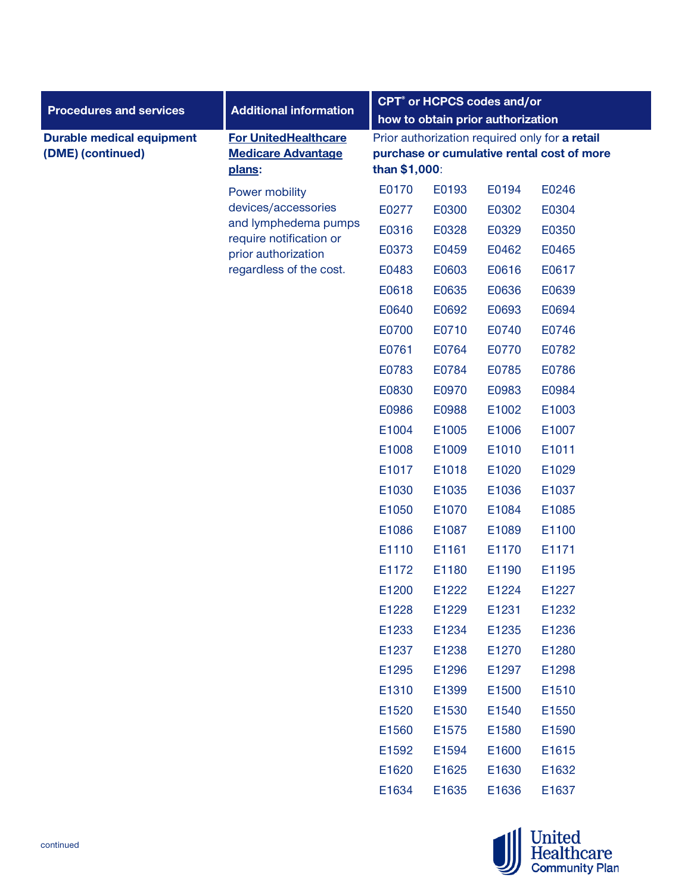|                                                       |                                                                    | CPT <sup>®</sup> or HCPCS codes and/or                                                                        |       |       |       |  |  |
|-------------------------------------------------------|--------------------------------------------------------------------|---------------------------------------------------------------------------------------------------------------|-------|-------|-------|--|--|
| <b>Procedures and services</b>                        | <b>Additional information</b>                                      | how to obtain prior authorization                                                                             |       |       |       |  |  |
| <b>Durable medical equipment</b><br>(DME) (continued) | <b>For UnitedHealthcare</b><br><b>Medicare Advantage</b><br>plans: | Prior authorization required only for a retail<br>purchase or cumulative rental cost of more<br>than \$1,000: |       |       |       |  |  |
|                                                       | Power mobility                                                     | E0170                                                                                                         | E0193 | E0194 | E0246 |  |  |
|                                                       | devices/accessories                                                | E0277                                                                                                         | E0300 | E0302 | E0304 |  |  |
|                                                       | and lymphedema pumps<br>require notification or                    | E0316                                                                                                         | E0328 | E0329 | E0350 |  |  |
|                                                       | prior authorization                                                | E0373                                                                                                         | E0459 | E0462 | E0465 |  |  |
|                                                       | regardless of the cost.                                            | E0483                                                                                                         | E0603 | E0616 | E0617 |  |  |
|                                                       |                                                                    | E0618                                                                                                         | E0635 | E0636 | E0639 |  |  |
|                                                       |                                                                    | E0640                                                                                                         | E0692 | E0693 | E0694 |  |  |
|                                                       |                                                                    | E0700                                                                                                         | E0710 | E0740 | E0746 |  |  |
|                                                       |                                                                    | E0761                                                                                                         | E0764 | E0770 | E0782 |  |  |
|                                                       |                                                                    | E0783                                                                                                         | E0784 | E0785 | E0786 |  |  |
|                                                       |                                                                    | E0830                                                                                                         | E0970 | E0983 | E0984 |  |  |
|                                                       |                                                                    | E0986                                                                                                         | E0988 | E1002 | E1003 |  |  |
|                                                       |                                                                    | E1004                                                                                                         | E1005 | E1006 | E1007 |  |  |
|                                                       |                                                                    | E1008                                                                                                         | E1009 | E1010 | E1011 |  |  |
|                                                       |                                                                    | E1017                                                                                                         | E1018 | E1020 | E1029 |  |  |
|                                                       |                                                                    | E1030                                                                                                         | E1035 | E1036 | E1037 |  |  |
|                                                       |                                                                    | E1050                                                                                                         | E1070 | E1084 | E1085 |  |  |
|                                                       |                                                                    | E1086                                                                                                         | E1087 | E1089 | E1100 |  |  |
|                                                       |                                                                    | E1110                                                                                                         | E1161 | E1170 | E1171 |  |  |
|                                                       |                                                                    | E1172                                                                                                         | E1180 | E1190 | E1195 |  |  |
|                                                       |                                                                    | E1200                                                                                                         | E1222 | E1224 | E1227 |  |  |
|                                                       |                                                                    | E1228                                                                                                         | E1229 | E1231 | E1232 |  |  |
|                                                       |                                                                    | E1233                                                                                                         | E1234 | E1235 | E1236 |  |  |
|                                                       |                                                                    | E1237                                                                                                         | E1238 | E1270 | E1280 |  |  |
|                                                       |                                                                    | E1295                                                                                                         | E1296 | E1297 | E1298 |  |  |
|                                                       |                                                                    | E1310                                                                                                         | E1399 | E1500 | E1510 |  |  |
|                                                       |                                                                    | E1520                                                                                                         | E1530 | E1540 | E1550 |  |  |
|                                                       |                                                                    | E1560                                                                                                         | E1575 | E1580 | E1590 |  |  |
|                                                       |                                                                    | E1592                                                                                                         | E1594 | E1600 | E1615 |  |  |
|                                                       |                                                                    | E1620                                                                                                         | E1625 | E1630 | E1632 |  |  |
|                                                       |                                                                    | E1634                                                                                                         | E1635 | E1636 | E1637 |  |  |

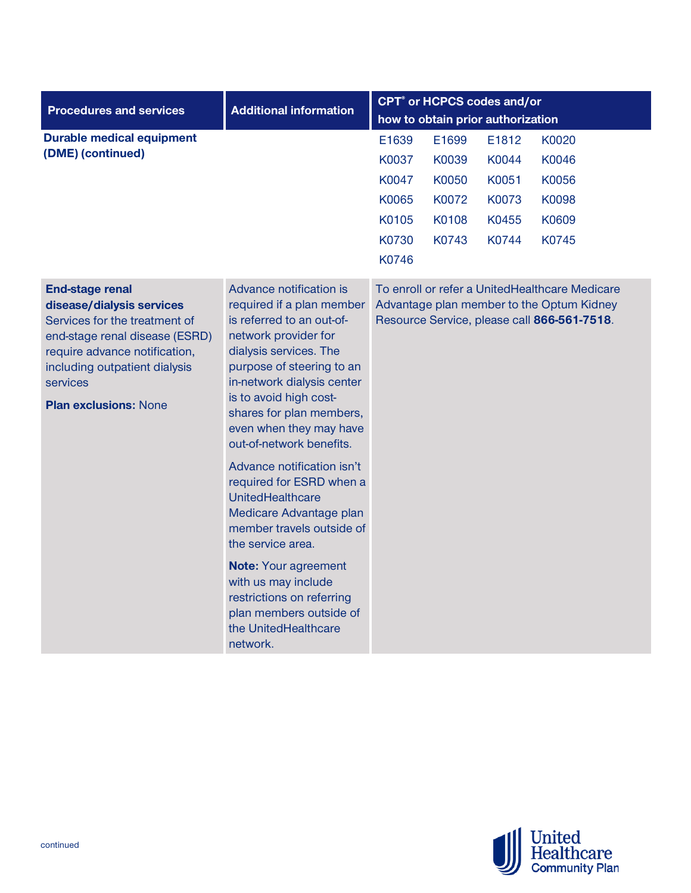| <b>Procedures and services</b>                                                                                                                                                                                                       | <b>Additional information</b>                                                                                                                                                                                                                                                                                                                                                                                                                                                                                                                                                                                            | <b>CPT<sup>®</sup></b> or HCPCS codes and/or |                         |                         |                                                                                                                                            |  |  |
|--------------------------------------------------------------------------------------------------------------------------------------------------------------------------------------------------------------------------------------|--------------------------------------------------------------------------------------------------------------------------------------------------------------------------------------------------------------------------------------------------------------------------------------------------------------------------------------------------------------------------------------------------------------------------------------------------------------------------------------------------------------------------------------------------------------------------------------------------------------------------|----------------------------------------------|-------------------------|-------------------------|--------------------------------------------------------------------------------------------------------------------------------------------|--|--|
|                                                                                                                                                                                                                                      |                                                                                                                                                                                                                                                                                                                                                                                                                                                                                                                                                                                                                          | how to obtain prior authorization            |                         |                         |                                                                                                                                            |  |  |
| <b>Durable medical equipment</b><br>(DME) (continued)                                                                                                                                                                                |                                                                                                                                                                                                                                                                                                                                                                                                                                                                                                                                                                                                                          | E1639<br>K0037<br>K0047                      | E1699<br>K0039<br>K0050 | E1812<br>K0044<br>K0051 | K0020<br>K0046<br>K0056                                                                                                                    |  |  |
|                                                                                                                                                                                                                                      |                                                                                                                                                                                                                                                                                                                                                                                                                                                                                                                                                                                                                          | K0065<br>K0105<br>K0730<br>K0746             | K0072<br>K0108<br>K0743 | K0073<br>K0455<br>K0744 | K0098<br>K0609<br>K0745                                                                                                                    |  |  |
| <b>End-stage renal</b><br>disease/dialysis services<br>Services for the treatment of<br>end-stage renal disease (ESRD)<br>require advance notification,<br>including outpatient dialysis<br>services<br><b>Plan exclusions: None</b> | Advance notification is<br>required if a plan member<br>is referred to an out-of-<br>network provider for<br>dialysis services. The<br>purpose of steering to an<br>in-network dialysis center<br>is to avoid high cost-<br>shares for plan members,<br>even when they may have<br>out-of-network benefits.<br>Advance notification isn't<br>required for ESRD when a<br>UnitedHealthcare<br>Medicare Advantage plan<br>member travels outside of<br>the service area.<br><b>Note: Your agreement</b><br>with us may include<br>restrictions on referring<br>plan members outside of<br>the UnitedHealthcare<br>network. |                                              |                         |                         | To enroll or refer a UnitedHealthcare Medicare<br>Advantage plan member to the Optum Kidney<br>Resource Service, please call 866-561-7518. |  |  |

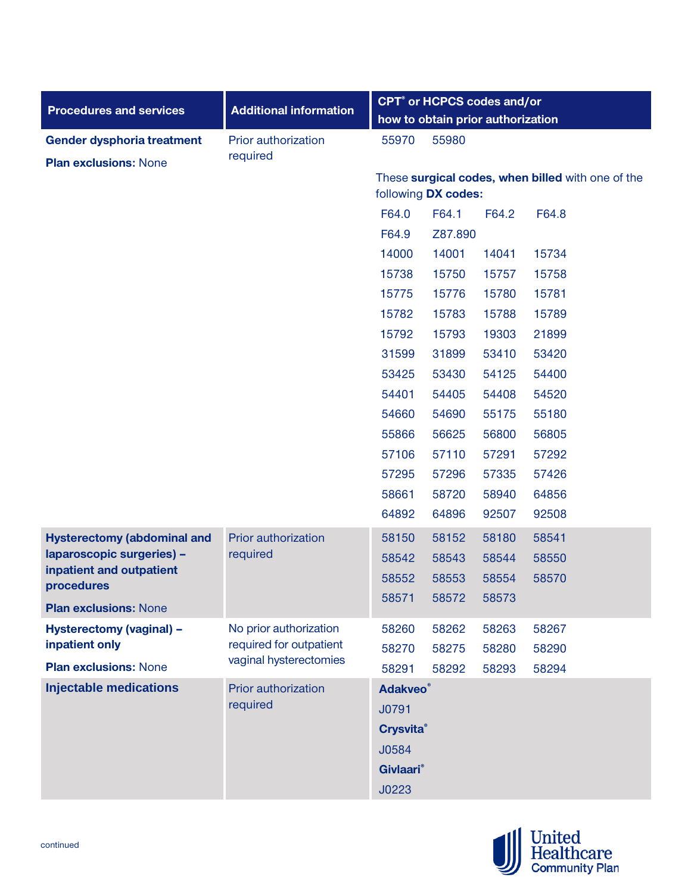| <b>Procedures and services</b>             | <b>Additional information</b>                     |                                   | CPT <sup>®</sup> or HCPCS codes and/or |       |                                                   |  |  |
|--------------------------------------------|---------------------------------------------------|-----------------------------------|----------------------------------------|-------|---------------------------------------------------|--|--|
|                                            |                                                   | how to obtain prior authorization |                                        |       |                                                   |  |  |
| Gender dysphoria treatment                 | Prior authorization                               | 55970                             | 55980                                  |       |                                                   |  |  |
| <b>Plan exclusions: None</b>               | required                                          |                                   |                                        |       |                                                   |  |  |
|                                            |                                                   |                                   | following DX codes:                    |       | These surgical codes, when billed with one of the |  |  |
|                                            |                                                   | F64.0                             | F64.1                                  | F64.2 | F64.8                                             |  |  |
|                                            |                                                   | F64.9                             | Z87.890                                |       |                                                   |  |  |
|                                            |                                                   | 14000                             | 14001                                  | 14041 | 15734                                             |  |  |
|                                            |                                                   | 15738                             | 15750                                  | 15757 | 15758                                             |  |  |
|                                            |                                                   | 15775                             | 15776                                  | 15780 | 15781                                             |  |  |
|                                            |                                                   | 15782                             | 15783                                  | 15788 | 15789                                             |  |  |
|                                            |                                                   | 15792                             | 15793                                  | 19303 | 21899                                             |  |  |
|                                            |                                                   | 31599                             | 31899                                  | 53410 | 53420                                             |  |  |
|                                            |                                                   | 53425                             | 53430                                  | 54125 | 54400                                             |  |  |
|                                            |                                                   | 54401                             | 54405                                  | 54408 | 54520                                             |  |  |
|                                            |                                                   | 54660                             | 54690                                  | 55175 | 55180                                             |  |  |
|                                            |                                                   | 55866                             | 56625                                  | 56800 | 56805                                             |  |  |
|                                            |                                                   | 57106                             | 57110                                  | 57291 | 57292                                             |  |  |
|                                            |                                                   | 57295                             | 57296                                  | 57335 | 57426                                             |  |  |
|                                            |                                                   | 58661                             | 58720                                  | 58940 | 64856                                             |  |  |
|                                            |                                                   | 64892                             | 64896                                  | 92507 | 92508                                             |  |  |
| <b>Hysterectomy (abdominal and</b>         | Prior authorization                               | 58150                             | 58152                                  | 58180 | 58541                                             |  |  |
| laparoscopic surgeries) -                  | required                                          | 58542                             | 58543                                  | 58544 | 58550                                             |  |  |
| inpatient and outpatient<br>procedures     |                                                   | 58552                             | 58553                                  | 58554 | 58570                                             |  |  |
|                                            |                                                   | 58571                             | 58572                                  | 58573 |                                                   |  |  |
| <b>Plan exclusions: None</b>               |                                                   |                                   |                                        |       |                                                   |  |  |
| Hysterectomy (vaginal) -<br>inpatient only | No prior authorization<br>required for outpatient | 58260                             | 58262                                  | 58263 | 58267                                             |  |  |
| <b>Plan exclusions: None</b>               | vaginal hysterectomies                            | 58270                             | 58275                                  | 58280 | 58290                                             |  |  |
|                                            |                                                   | 58291                             | 58292                                  | 58293 | 58294                                             |  |  |
| <b>Injectable medications</b>              | Prior authorization<br>required                   | <b>Adakveo</b> <sup>®</sup>       |                                        |       |                                                   |  |  |
|                                            |                                                   | J0791                             |                                        |       |                                                   |  |  |
|                                            |                                                   | <b>Crysvita®</b>                  |                                        |       |                                                   |  |  |
|                                            |                                                   | J0584                             |                                        |       |                                                   |  |  |
|                                            |                                                   | <b>Givlaari</b> <sup>®</sup>      |                                        |       |                                                   |  |  |
|                                            |                                                   | J0223                             |                                        |       |                                                   |  |  |

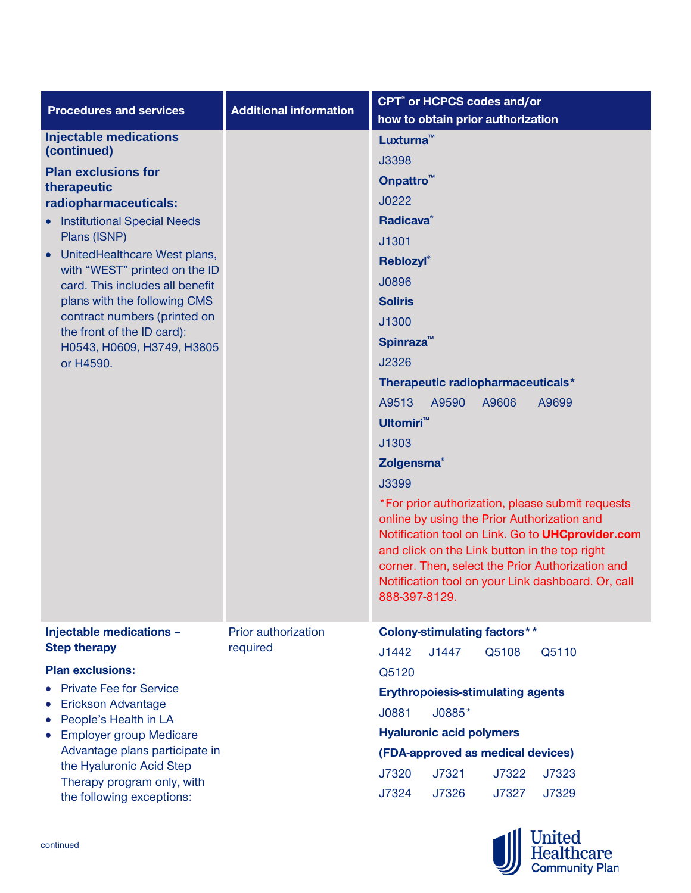| <b>Procedures and services</b>                                                                                                                                                                                                                                                                                                                                                                                        | <b>Additional information</b>   | <b>CPT<sup>®</sup></b> or HCPCS codes and/or<br>how to obtain prior authorization                                                                                                                                                                                                                                                                                                                                                                                                                                                                                                                                                                                               |
|-----------------------------------------------------------------------------------------------------------------------------------------------------------------------------------------------------------------------------------------------------------------------------------------------------------------------------------------------------------------------------------------------------------------------|---------------------------------|---------------------------------------------------------------------------------------------------------------------------------------------------------------------------------------------------------------------------------------------------------------------------------------------------------------------------------------------------------------------------------------------------------------------------------------------------------------------------------------------------------------------------------------------------------------------------------------------------------------------------------------------------------------------------------|
| <b>Injectable medications</b><br>(continued)<br><b>Plan exclusions for</b><br>therapeutic<br>radiopharmaceuticals:<br><b>Institutional Special Needs</b><br>Plans (ISNP)<br>UnitedHealthcare West plans,<br>with "WEST" printed on the ID<br>card. This includes all benefit<br>plans with the following CMS<br>contract numbers (printed on<br>the front of the ID card):<br>H0543, H0609, H3749, H3805<br>or H4590. |                                 | Luxturna <sup>™</sup><br>J3398<br>Onpattro <sup>™</sup><br>J0222<br><b>Radicava</b> <sup>®</sup><br>J1301<br>Reblozyl®<br>J0896<br><b>Soliris</b><br>J1300<br>Spinraza <sup>™</sup><br>J2326<br>Therapeutic radiopharmaceuticals*<br>A9513<br>A9590<br>A9606<br>A9699<br><b>Ultomiri™</b><br>J1303<br><b>Zolgensma</b> <sup>®</sup><br>J3399<br>*For prior authorization, please submit requests<br>online by using the Prior Authorization and<br>Notification tool on Link. Go to UHCprovider.com<br>and click on the Link button in the top right<br>corner. Then, select the Prior Authorization and<br>Notification tool on your Link dashboard. Or, call<br>888-397-8129. |
| Injectable medications -<br><b>Step therapy</b>                                                                                                                                                                                                                                                                                                                                                                       | Prior authorization<br>required | <b>Colony-stimulating factors**</b><br>J1442<br>J1447<br>Q5108<br>Q5110                                                                                                                                                                                                                                                                                                                                                                                                                                                                                                                                                                                                         |
| <b>Plan exclusions:</b><br><b>Private Fee for Service</b><br>Erickson Advantage<br>People's Health in LA<br><b>Employer group Medicare</b><br>Advantage plans participate in<br>the Hyaluronic Acid Step<br>Therapy program only, with<br>the following exceptions:                                                                                                                                                   |                                 | Q5120<br><b>Erythropoiesis-stimulating agents</b><br>J0885*<br>J0881<br><b>Hyaluronic acid polymers</b><br>(FDA-approved as medical devices)<br>J7320<br>J7321<br>J7322<br>J7323<br>J7324<br>J7326<br>J7327<br>J7329                                                                                                                                                                                                                                                                                                                                                                                                                                                            |

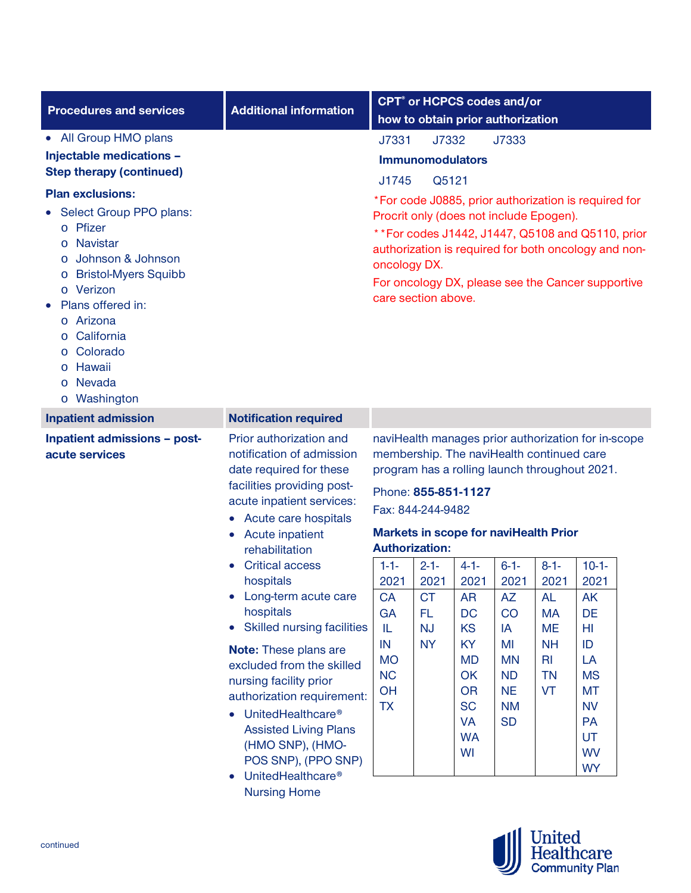| <b>Procedures and services</b>                                                                                                                                                                                                                                                                                                                                                                                                 | <b>Additional information</b>                                                                                                                                                                                                                                                                                                                                                                                                                                                                                                                                                                                                        |                                                                                                                                                                                                          |                                                                |                                                                                                                                             | <b>CPT<sup>®</sup></b> or HCPCS codes and/or<br>how to obtain prior authorization                                 |                                                                                                                                                                   |                                                                                                                                                                                                                                                  |  |
|--------------------------------------------------------------------------------------------------------------------------------------------------------------------------------------------------------------------------------------------------------------------------------------------------------------------------------------------------------------------------------------------------------------------------------|--------------------------------------------------------------------------------------------------------------------------------------------------------------------------------------------------------------------------------------------------------------------------------------------------------------------------------------------------------------------------------------------------------------------------------------------------------------------------------------------------------------------------------------------------------------------------------------------------------------------------------------|----------------------------------------------------------------------------------------------------------------------------------------------------------------------------------------------------------|----------------------------------------------------------------|---------------------------------------------------------------------------------------------------------------------------------------------|-------------------------------------------------------------------------------------------------------------------|-------------------------------------------------------------------------------------------------------------------------------------------------------------------|--------------------------------------------------------------------------------------------------------------------------------------------------------------------------------------------------------------------------------------------------|--|
| • All Group HMO plans<br>Injectable medications -<br><b>Step therapy (continued)</b><br><b>Plan exclusions:</b><br>Select Group PPO plans:<br>Pfizer<br>$\circ$<br><b>Navistar</b><br>$\circ$<br>Johnson & Johnson<br>$\circ$<br><b>Bristol-Myers Squibb</b><br>$\circ$<br>o Verizon<br>Plans offered in:<br>Arizona<br>$\circ$<br>California<br>Colorado<br>$\circ$<br>Hawaii<br>$\circ$<br>Nevada<br>$\circ$<br>o Washington |                                                                                                                                                                                                                                                                                                                                                                                                                                                                                                                                                                                                                                      | J7331<br>J1745<br>oncology DX.<br>care section above.                                                                                                                                                    | J7332<br><b>Immunomodulators</b><br>Q5121                      |                                                                                                                                             | J7333                                                                                                             | Procrit only (does not include Epogen).                                                                                                                           | *For code J0885, prior authorization is required for<br>** For codes J1442, J1447, Q5108 and Q5110, prior<br>authorization is required for both oncology and non-<br>For oncology DX, please see the Cancer supportive                           |  |
| <b>Inpatient admission</b>                                                                                                                                                                                                                                                                                                                                                                                                     | <b>Notification required</b>                                                                                                                                                                                                                                                                                                                                                                                                                                                                                                                                                                                                         |                                                                                                                                                                                                          |                                                                |                                                                                                                                             |                                                                                                                   |                                                                                                                                                                   |                                                                                                                                                                                                                                                  |  |
| Inpatient admissions - post-<br>acute services                                                                                                                                                                                                                                                                                                                                                                                 | Prior authorization and<br>notification of admission<br>date required for these<br>facilities providing post-<br>acute inpatient services:<br>• Acute care hospitals<br>• Acute inpatient<br>rehabilitation<br><b>Critical access</b><br>hospitals<br>• Long-term acute care<br>hospitals<br><b>Skilled nursing facilities</b><br>$\bullet$<br><b>Note:</b> These plans are<br>excluded from the skilled<br>nursing facility prior<br>authorization requirement:<br>UnitedHealthcare <sup>®</sup><br><b>Assisted Living Plans</b><br>(HMO SNP), (HMO-<br>POS SNP), (PPO SNP)<br>UnitedHealthcare <sup>®</sup><br><b>Nursing Home</b> | membership. The naviHealth continued care<br>Phone: 855-851-1127<br>Fax: 844-244-9482<br><b>Authorization:</b><br>$1 - 1 -$<br>2021<br>CA<br>GA<br>IL<br>IN<br><b>MO</b><br><b>NC</b><br>OH<br><b>TX</b> | $2 - 1 -$<br>2021<br><b>CT</b><br>FL<br><b>NJ</b><br><b>NY</b> | $4 - 1 -$<br>2021<br><b>AR</b><br>DC<br><b>KS</b><br><b>KY</b><br><b>MD</b><br>OK<br><b>OR</b><br><b>SC</b><br><b>VA</b><br><b>WA</b><br>WI | $6 - 1 -$<br>2021<br><b>AZ</b><br>CO<br>IA<br>MI<br><b>MN</b><br><b>ND</b><br><b>NE</b><br><b>NM</b><br><b>SD</b> | <b>Markets in scope for naviHealth Prior</b><br>$8 - 1 -$<br>2021<br><b>AL</b><br><b>MA</b><br><b>ME</b><br><b>NH</b><br>R <sub>l</sub><br><b>TN</b><br><b>VT</b> | naviHealth manages prior authorization for in-scope<br>program has a rolling launch throughout 2021.<br>$10-1-$<br>2021<br><b>AK</b><br>DE<br>HI<br>ID<br>LA<br><b>MS</b><br><b>MT</b><br><b>NV</b><br><b>PA</b><br>UT<br><b>WV</b><br><b>WY</b> |  |

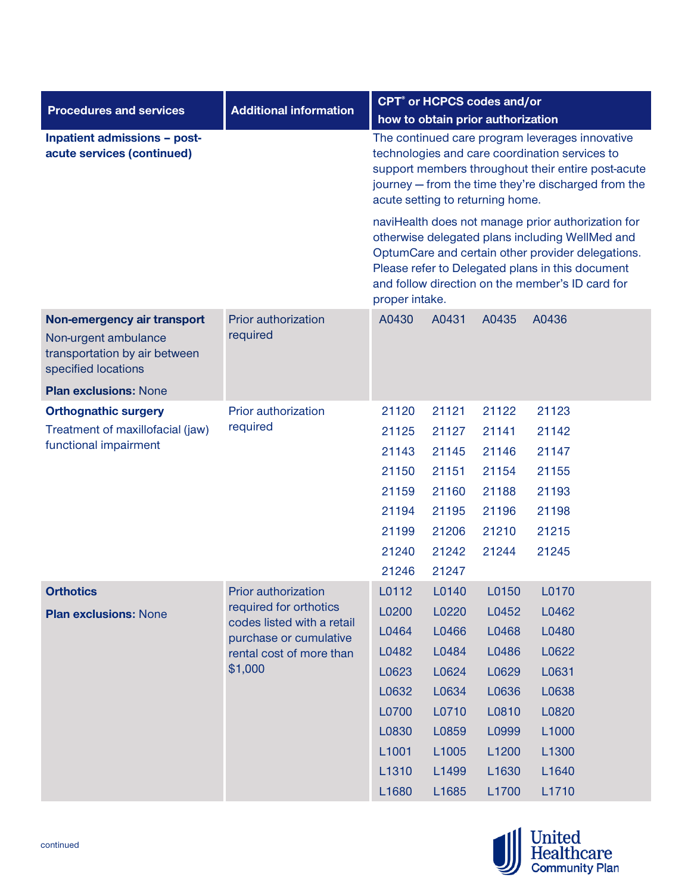| <b>Procedures and services</b>                                                                              | <b>Additional information</b>                        | <b>CPT<sup>®</sup></b> or HCPCS codes and/or                                                                                                                                                                                                                                                                                                                                                                                                                                                                                               |                |                |                |  |
|-------------------------------------------------------------------------------------------------------------|------------------------------------------------------|--------------------------------------------------------------------------------------------------------------------------------------------------------------------------------------------------------------------------------------------------------------------------------------------------------------------------------------------------------------------------------------------------------------------------------------------------------------------------------------------------------------------------------------------|----------------|----------------|----------------|--|
|                                                                                                             |                                                      | how to obtain prior authorization                                                                                                                                                                                                                                                                                                                                                                                                                                                                                                          |                |                |                |  |
| Inpatient admissions - post-<br>acute services (continued)                                                  |                                                      | The continued care program leverages innovative<br>technologies and care coordination services to<br>support members throughout their entire post-acute<br>journey - from the time they're discharged from the<br>acute setting to returning home.<br>naviHealth does not manage prior authorization for<br>otherwise delegated plans including WellMed and<br>OptumCare and certain other provider delegations.<br>Please refer to Delegated plans in this document<br>and follow direction on the member's ID card for<br>proper intake. |                |                |                |  |
|                                                                                                             |                                                      |                                                                                                                                                                                                                                                                                                                                                                                                                                                                                                                                            |                |                |                |  |
| Non-emergency air transport<br>Non-urgent ambulance<br>transportation by air between<br>specified locations | Prior authorization<br>required                      | A0430                                                                                                                                                                                                                                                                                                                                                                                                                                                                                                                                      | A0431          | A0435          | A0436          |  |
| <b>Plan exclusions: None</b>                                                                                |                                                      |                                                                                                                                                                                                                                                                                                                                                                                                                                                                                                                                            |                |                |                |  |
| <b>Orthognathic surgery</b>                                                                                 | Prior authorization                                  | 21120                                                                                                                                                                                                                                                                                                                                                                                                                                                                                                                                      | 21121          | 21122          | 21123          |  |
| Treatment of maxillofacial (jaw)<br>functional impairment                                                   | required                                             | 21125                                                                                                                                                                                                                                                                                                                                                                                                                                                                                                                                      | 21127          | 21141          | 21142          |  |
|                                                                                                             |                                                      | 21143                                                                                                                                                                                                                                                                                                                                                                                                                                                                                                                                      | 21145          | 21146          | 21147          |  |
|                                                                                                             |                                                      | 21150                                                                                                                                                                                                                                                                                                                                                                                                                                                                                                                                      | 21151          | 21154          | 21155          |  |
|                                                                                                             |                                                      | 21159<br>21194                                                                                                                                                                                                                                                                                                                                                                                                                                                                                                                             | 21160<br>21195 | 21188<br>21196 | 21193<br>21198 |  |
|                                                                                                             |                                                      | 21199                                                                                                                                                                                                                                                                                                                                                                                                                                                                                                                                      | 21206          | 21210          | 21215          |  |
|                                                                                                             |                                                      | 21240                                                                                                                                                                                                                                                                                                                                                                                                                                                                                                                                      | 21242          | 21244          | 21245          |  |
|                                                                                                             |                                                      | 21246                                                                                                                                                                                                                                                                                                                                                                                                                                                                                                                                      | 21247          |                |                |  |
| <b>Orthotics</b>                                                                                            | Prior authorization                                  | L0112                                                                                                                                                                                                                                                                                                                                                                                                                                                                                                                                      | L0140          | L0150          | L0170          |  |
| <b>Plan exclusions: None</b>                                                                                | required for orthotics                               | L0200                                                                                                                                                                                                                                                                                                                                                                                                                                                                                                                                      | L0220          | L0452          | L0462          |  |
|                                                                                                             | codes listed with a retail<br>purchase or cumulative | L0464                                                                                                                                                                                                                                                                                                                                                                                                                                                                                                                                      | L0466          | L0468          | L0480          |  |
|                                                                                                             | rental cost of more than                             | L0482                                                                                                                                                                                                                                                                                                                                                                                                                                                                                                                                      | L0484          | L0486          | L0622          |  |
|                                                                                                             | \$1,000                                              | L0623                                                                                                                                                                                                                                                                                                                                                                                                                                                                                                                                      | L0624          | L0629          | L0631          |  |
|                                                                                                             |                                                      | L0632                                                                                                                                                                                                                                                                                                                                                                                                                                                                                                                                      | L0634          | L0636          | L0638          |  |
|                                                                                                             |                                                      | L0700                                                                                                                                                                                                                                                                                                                                                                                                                                                                                                                                      | L0710          | L0810          | L0820          |  |
|                                                                                                             |                                                      | L0830                                                                                                                                                                                                                                                                                                                                                                                                                                                                                                                                      | L0859          | L0999          | L1000          |  |
|                                                                                                             |                                                      | L1001                                                                                                                                                                                                                                                                                                                                                                                                                                                                                                                                      | L1005          | L1200          | L1300          |  |
|                                                                                                             |                                                      | L1310                                                                                                                                                                                                                                                                                                                                                                                                                                                                                                                                      | L1499          | L1630          | L1640          |  |
|                                                                                                             |                                                      | L1680                                                                                                                                                                                                                                                                                                                                                                                                                                                                                                                                      | L1685          | L1700          | L1710          |  |

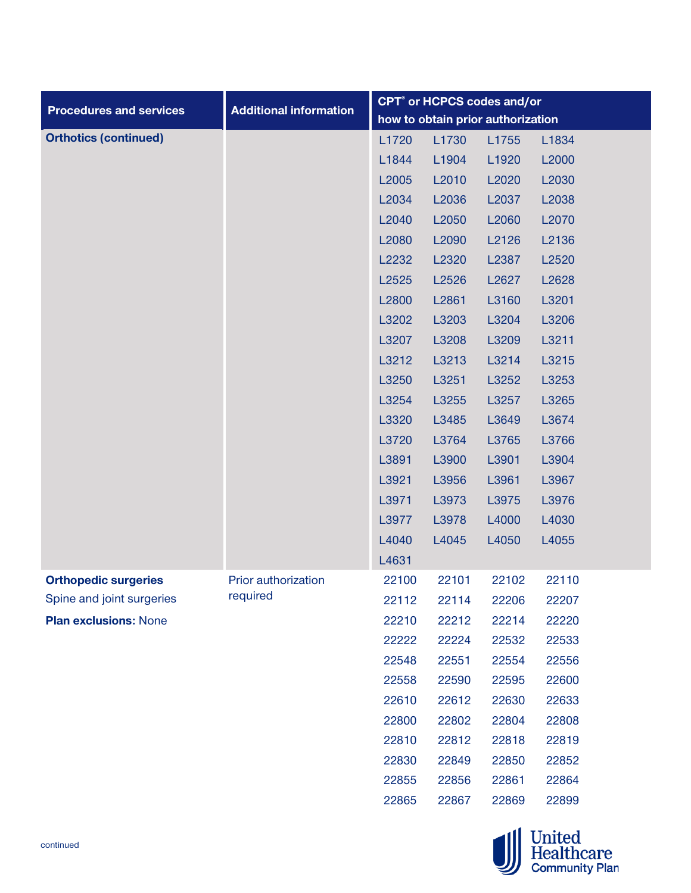|                                |                               | CPT <sup>®</sup> or HCPCS codes and/or |                                   |       |       |  |
|--------------------------------|-------------------------------|----------------------------------------|-----------------------------------|-------|-------|--|
| <b>Procedures and services</b> | <b>Additional information</b> |                                        | how to obtain prior authorization |       |       |  |
| <b>Orthotics (continued)</b>   |                               | L1720                                  | L1730                             | L1755 | L1834 |  |
|                                |                               | L1844                                  | L1904                             | L1920 | L2000 |  |
|                                |                               | L2005                                  | L2010                             | L2020 | L2030 |  |
|                                |                               | L2034                                  | L2036                             | L2037 | L2038 |  |
|                                |                               | L2040                                  | L2050                             | L2060 | L2070 |  |
|                                |                               | L2080                                  | L2090                             | L2126 | L2136 |  |
|                                |                               | L2232                                  | L2320                             | L2387 | L2520 |  |
|                                |                               | L2525                                  | L2526                             | L2627 | L2628 |  |
|                                |                               | L2800                                  | L2861                             | L3160 | L3201 |  |
|                                |                               | L3202                                  | L3203                             | L3204 | L3206 |  |
|                                |                               | L3207                                  | L3208                             | L3209 | L3211 |  |
|                                |                               | L3212                                  | L3213                             | L3214 | L3215 |  |
|                                |                               | L3250                                  | L3251                             | L3252 | L3253 |  |
|                                |                               | L3254                                  | L3255                             | L3257 | L3265 |  |
|                                |                               | L3320                                  | L3485                             | L3649 | L3674 |  |
|                                |                               | L3720                                  | L3764                             | L3765 | L3766 |  |
|                                |                               | L3891                                  | L3900                             | L3901 | L3904 |  |
|                                |                               | L3921                                  | L3956                             | L3961 | L3967 |  |
|                                |                               | L3971                                  | L3973                             | L3975 | L3976 |  |
|                                |                               | L3977                                  | L3978                             | L4000 | L4030 |  |
|                                |                               | L4040                                  | L4045                             | L4050 | L4055 |  |
|                                |                               | L4631                                  |                                   |       |       |  |
| <b>Orthopedic surgeries</b>    | Prior authorization           | 22100                                  | 22101                             | 22102 | 22110 |  |
| Spine and joint surgeries      | required                      | 22112                                  | 22114                             | 22206 | 22207 |  |
| <b>Plan exclusions: None</b>   |                               | 22210                                  | 22212                             | 22214 | 22220 |  |
|                                |                               | 22222                                  | 22224                             | 22532 | 22533 |  |
|                                |                               | 22548                                  | 22551                             | 22554 | 22556 |  |
|                                |                               | 22558                                  | 22590                             | 22595 | 22600 |  |
|                                |                               | 22610                                  | 22612                             | 22630 | 22633 |  |
|                                |                               | 22800                                  | 22802                             | 22804 | 22808 |  |
|                                |                               | 22810                                  | 22812                             | 22818 | 22819 |  |
|                                |                               | 22830                                  | 22849                             | 22850 | 22852 |  |
|                                |                               | 22855                                  | 22856                             | 22861 | 22864 |  |
|                                |                               | 22865                                  | 22867                             | 22869 | 22899 |  |

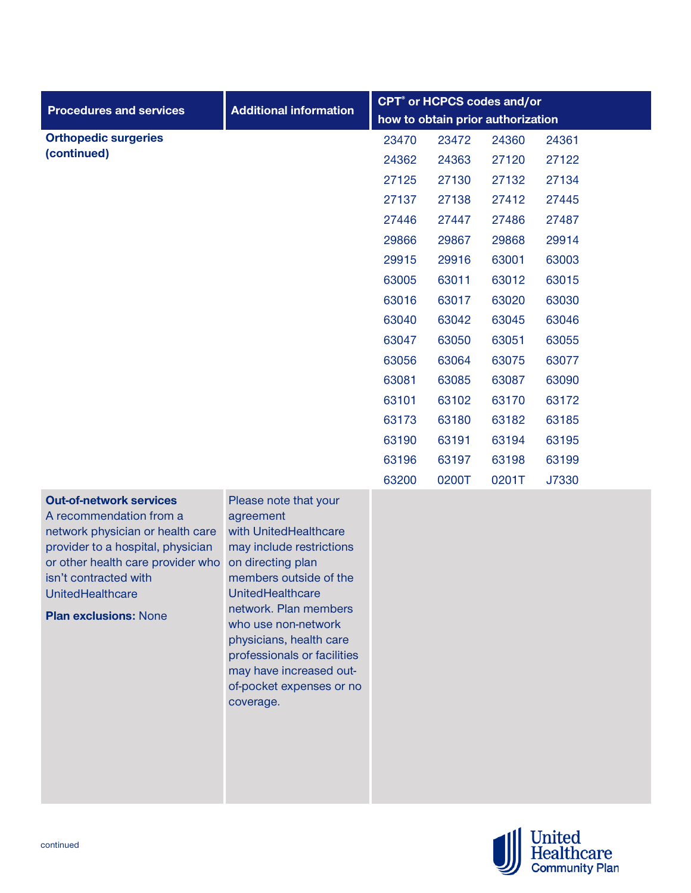| <b>Procedures and services</b>                                                                                                                                                                                                                       | <b>Additional information</b>                                                                                                                                                                                                                                                                                                                   | CPT <sup>®</sup> or HCPCS codes and/or |       |                                   |       |
|------------------------------------------------------------------------------------------------------------------------------------------------------------------------------------------------------------------------------------------------------|-------------------------------------------------------------------------------------------------------------------------------------------------------------------------------------------------------------------------------------------------------------------------------------------------------------------------------------------------|----------------------------------------|-------|-----------------------------------|-------|
|                                                                                                                                                                                                                                                      |                                                                                                                                                                                                                                                                                                                                                 |                                        |       | how to obtain prior authorization |       |
| <b>Orthopedic surgeries</b>                                                                                                                                                                                                                          |                                                                                                                                                                                                                                                                                                                                                 | 23470                                  | 23472 | 24360                             | 24361 |
| (continued)                                                                                                                                                                                                                                          |                                                                                                                                                                                                                                                                                                                                                 | 24362                                  | 24363 | 27120                             | 27122 |
|                                                                                                                                                                                                                                                      |                                                                                                                                                                                                                                                                                                                                                 | 27125                                  | 27130 | 27132                             | 27134 |
|                                                                                                                                                                                                                                                      |                                                                                                                                                                                                                                                                                                                                                 | 27137                                  | 27138 | 27412                             | 27445 |
|                                                                                                                                                                                                                                                      |                                                                                                                                                                                                                                                                                                                                                 | 27446                                  | 27447 | 27486                             | 27487 |
|                                                                                                                                                                                                                                                      |                                                                                                                                                                                                                                                                                                                                                 | 29866                                  | 29867 | 29868                             | 29914 |
|                                                                                                                                                                                                                                                      |                                                                                                                                                                                                                                                                                                                                                 | 29915                                  | 29916 | 63001                             | 63003 |
|                                                                                                                                                                                                                                                      |                                                                                                                                                                                                                                                                                                                                                 | 63005                                  | 63011 | 63012                             | 63015 |
|                                                                                                                                                                                                                                                      |                                                                                                                                                                                                                                                                                                                                                 | 63016                                  | 63017 | 63020                             | 63030 |
|                                                                                                                                                                                                                                                      |                                                                                                                                                                                                                                                                                                                                                 | 63040                                  | 63042 | 63045                             | 63046 |
|                                                                                                                                                                                                                                                      |                                                                                                                                                                                                                                                                                                                                                 | 63047                                  | 63050 | 63051                             | 63055 |
|                                                                                                                                                                                                                                                      |                                                                                                                                                                                                                                                                                                                                                 | 63056                                  | 63064 | 63075                             | 63077 |
|                                                                                                                                                                                                                                                      |                                                                                                                                                                                                                                                                                                                                                 | 63081                                  | 63085 | 63087                             | 63090 |
|                                                                                                                                                                                                                                                      |                                                                                                                                                                                                                                                                                                                                                 | 63101                                  | 63102 | 63170                             | 63172 |
|                                                                                                                                                                                                                                                      |                                                                                                                                                                                                                                                                                                                                                 | 63173                                  | 63180 | 63182                             | 63185 |
|                                                                                                                                                                                                                                                      |                                                                                                                                                                                                                                                                                                                                                 | 63190                                  | 63191 | 63194                             | 63195 |
|                                                                                                                                                                                                                                                      |                                                                                                                                                                                                                                                                                                                                                 | 63196                                  | 63197 | 63198                             | 63199 |
|                                                                                                                                                                                                                                                      |                                                                                                                                                                                                                                                                                                                                                 | 63200                                  | 0200T | 0201T                             | J7330 |
| <b>Out-of-network services</b><br>A recommendation from a<br>network physician or health care<br>provider to a hospital, physician<br>or other health care provider who<br>isn't contracted with<br>UnitedHealthcare<br><b>Plan exclusions: None</b> | Please note that your<br>agreement<br>with UnitedHealthcare<br>may include restrictions<br>on directing plan<br>members outside of the<br><b>UnitedHealthcare</b><br>network. Plan members<br>who use non-network<br>physicians, health care<br>professionals or facilities<br>may have increased out-<br>of-pocket expenses or no<br>coverage. |                                        |       |                                   |       |

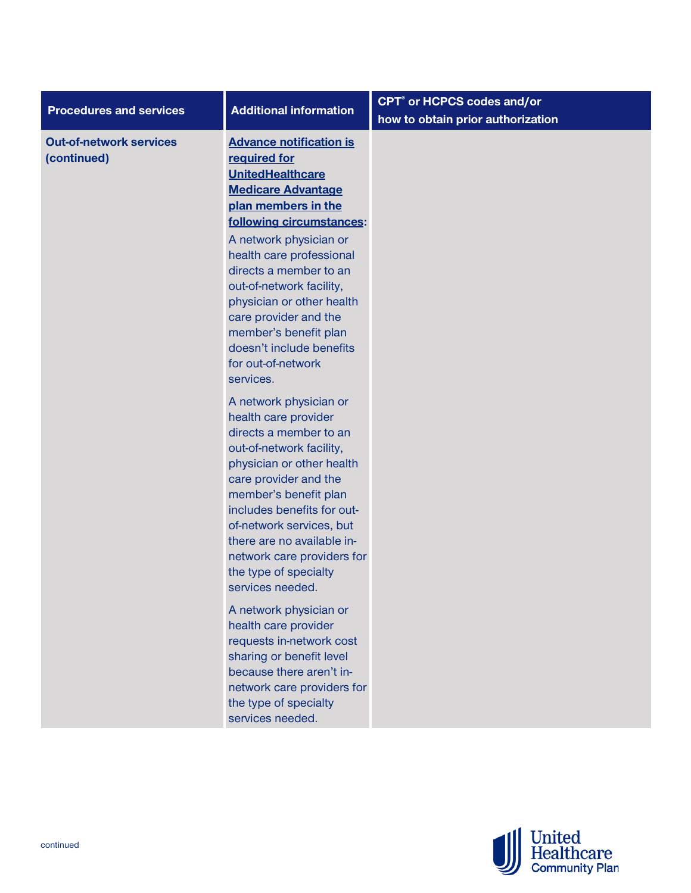| <b>Additional information</b>                                                                                                                                                                                                                                                                                                                                                                                                                                                                                                                                                                                                                                                                                                                                                                                                                                                                                                                                              | CPT <sup>®</sup> or HCPCS codes and/or<br>how to obtain prior authorization |
|----------------------------------------------------------------------------------------------------------------------------------------------------------------------------------------------------------------------------------------------------------------------------------------------------------------------------------------------------------------------------------------------------------------------------------------------------------------------------------------------------------------------------------------------------------------------------------------------------------------------------------------------------------------------------------------------------------------------------------------------------------------------------------------------------------------------------------------------------------------------------------------------------------------------------------------------------------------------------|-----------------------------------------------------------------------------|
| <b>Advance notification is</b><br>required for<br><b>UnitedHealthcare</b><br><b>Medicare Advantage</b><br>plan members in the<br>following circumstances:<br>A network physician or<br>health care professional<br>directs a member to an<br>out-of-network facility,<br>physician or other health<br>care provider and the<br>member's benefit plan<br>doesn't include benefits<br>for out-of-network<br>services.<br>A network physician or<br>health care provider<br>directs a member to an<br>out-of-network facility,<br>physician or other health<br>care provider and the<br>member's benefit plan<br>includes benefits for out-<br>of-network services, but<br>there are no available in-<br>network care providers for<br>the type of specialty<br>services needed.<br>A network physician or<br>health care provider<br>requests in-network cost<br>sharing or benefit level<br>because there aren't in-<br>network care providers for<br>the type of specialty |                                                                             |
|                                                                                                                                                                                                                                                                                                                                                                                                                                                                                                                                                                                                                                                                                                                                                                                                                                                                                                                                                                            | services needed.                                                            |

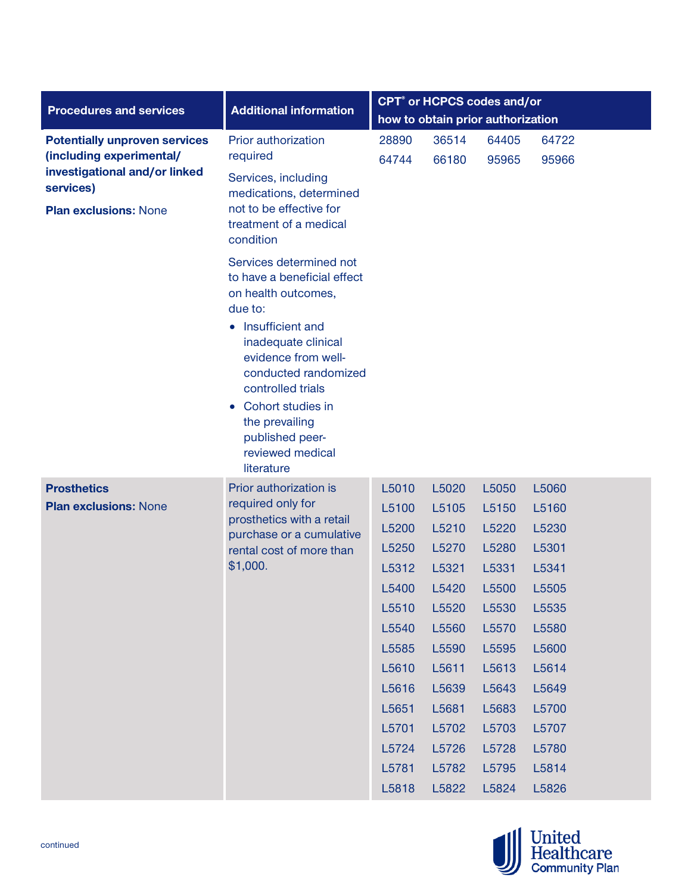| <b>Procedures and services</b>                            | <b>Additional information</b>                                                                       | CPT <sup>®</sup> or HCPCS codes and/or |                                   |       |       |  |  |
|-----------------------------------------------------------|-----------------------------------------------------------------------------------------------------|----------------------------------------|-----------------------------------|-------|-------|--|--|
|                                                           |                                                                                                     |                                        | how to obtain prior authorization |       |       |  |  |
| <b>Potentially unproven services</b>                      | Prior authorization                                                                                 | 28890                                  | 36514                             | 64405 | 64722 |  |  |
| (including experimental/<br>investigational and/or linked | required                                                                                            | 64744                                  | 66180                             | 95965 | 95966 |  |  |
| services)<br><b>Plan exclusions: None</b>                 | Services, including<br>medications, determined<br>not to be effective for<br>treatment of a medical |                                        |                                   |       |       |  |  |
|                                                           | condition                                                                                           |                                        |                                   |       |       |  |  |
|                                                           | Services determined not<br>to have a beneficial effect<br>on health outcomes,<br>due to:            |                                        |                                   |       |       |  |  |
|                                                           | • Insufficient and<br>inadequate clinical<br>evidence from well-<br>conducted randomized            |                                        |                                   |       |       |  |  |
|                                                           | controlled trials<br>• Cohort studies in<br>the prevailing<br>published peer-                       |                                        |                                   |       |       |  |  |
|                                                           | reviewed medical<br>literature                                                                      |                                        |                                   |       |       |  |  |
| <b>Prosthetics</b>                                        | Prior authorization is                                                                              | L5010                                  | L5020                             | L5050 | L5060 |  |  |
| <b>Plan exclusions: None</b>                              | required only for<br>prosthetics with a retail                                                      | L5100                                  | L5105                             | L5150 | L5160 |  |  |
|                                                           | purchase or a cumulative                                                                            | L5200                                  | L5210                             | L5220 | L5230 |  |  |
|                                                           | rental cost of more than                                                                            | L5250                                  | L5270                             | L5280 | L5301 |  |  |
|                                                           | \$1,000.                                                                                            | L5312                                  | L5321                             | L5331 | L5341 |  |  |
|                                                           |                                                                                                     | L5400                                  | L5420                             | L5500 | L5505 |  |  |
|                                                           |                                                                                                     | L5510                                  | L5520                             | L5530 | L5535 |  |  |
|                                                           |                                                                                                     | L5540                                  | L5560                             | L5570 | L5580 |  |  |
|                                                           |                                                                                                     | L5585                                  | L5590                             | L5595 | L5600 |  |  |
|                                                           |                                                                                                     | L5610                                  | L5611                             | L5613 | L5614 |  |  |
|                                                           |                                                                                                     | L5616                                  | L5639                             | L5643 | L5649 |  |  |
|                                                           |                                                                                                     | L5651                                  | L5681                             | L5683 | L5700 |  |  |
|                                                           |                                                                                                     | L5701                                  | L5702                             | L5703 | L5707 |  |  |
|                                                           |                                                                                                     | L5724                                  | L5726                             | L5728 | L5780 |  |  |
|                                                           |                                                                                                     | L5781                                  | L5782                             | L5795 | L5814 |  |  |
|                                                           |                                                                                                     | L5818                                  | L5822                             | L5824 | L5826 |  |  |

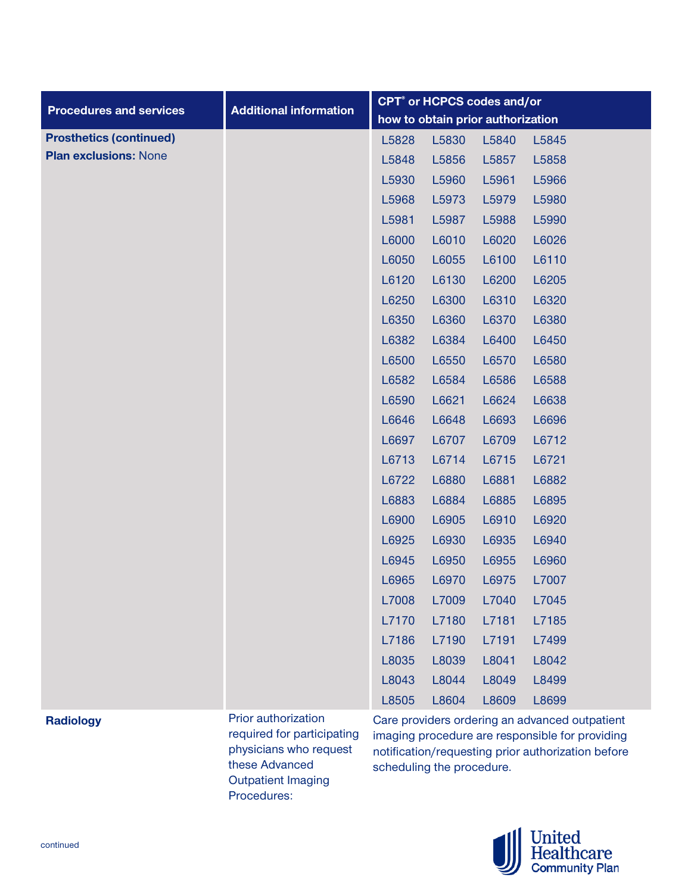|                                |                               | <b>CPT<sup>®</sup></b> or HCPCS codes and/or |                                   |       |                                                |
|--------------------------------|-------------------------------|----------------------------------------------|-----------------------------------|-------|------------------------------------------------|
| <b>Procedures and services</b> | <b>Additional information</b> |                                              | how to obtain prior authorization |       |                                                |
| <b>Prosthetics (continued)</b> |                               | L5828                                        | L5830                             | L5840 | L5845                                          |
| <b>Plan exclusions: None</b>   |                               | L5848                                        | L5856                             | L5857 | L5858                                          |
|                                |                               | L5930                                        | L5960                             | L5961 | L5966                                          |
|                                |                               | L5968                                        | L5973                             | L5979 | L5980                                          |
|                                |                               | L5981                                        | L5987                             | L5988 | L5990                                          |
|                                |                               | L6000                                        | L6010                             | L6020 | L6026                                          |
|                                |                               | L6050                                        | L6055                             | L6100 | L6110                                          |
|                                |                               | L6120                                        | L6130                             | L6200 | L6205                                          |
|                                |                               | L6250                                        | L6300                             | L6310 | L6320                                          |
|                                |                               | L6350                                        | L6360                             | L6370 | L6380                                          |
|                                |                               | L6382                                        | L6384                             | L6400 | L6450                                          |
|                                |                               | L6500                                        | L6550                             | L6570 | L6580                                          |
|                                |                               | L6582                                        | L6584                             | L6586 | L6588                                          |
|                                |                               | L6590                                        | L6621                             | L6624 | L6638                                          |
|                                |                               | L6646                                        | L6648                             | L6693 | L6696                                          |
|                                |                               | L6697                                        | L6707                             | L6709 | L6712                                          |
|                                |                               | L6713                                        | L6714                             | L6715 | L6721                                          |
|                                |                               | L6722                                        | L6880                             | L6881 | L6882                                          |
|                                |                               | L6883                                        | L6884                             | L6885 | L6895                                          |
|                                |                               | L6900                                        | L6905                             | L6910 | L6920                                          |
|                                |                               | L6925                                        | L6930                             | L6935 | L6940                                          |
|                                |                               | L6945                                        | L6950                             | L6955 | L6960                                          |
|                                |                               | L6965                                        | L6970                             | L6975 | L7007                                          |
|                                |                               | L7008                                        | L7009                             | L7040 | L7045                                          |
|                                |                               | L7170                                        | L7180                             | L7181 | L7185                                          |
|                                |                               | L7186                                        | L7190                             | L7191 | L7499                                          |
|                                |                               | L8035                                        | L8039                             | L8041 | L8042                                          |
|                                |                               | L8043                                        | L8044                             | L8049 | L8499                                          |
|                                |                               | L8505                                        | L8604                             | L8609 | L8699                                          |
| <b>Radiology</b>               | Prior authorization           |                                              |                                   |       | Care providers ordering an advanced outpatient |

# **Radiology**

required for participating physicians who request these Advanced Outpatient Imaging Procedures:

Care providers ordering an advanced outpatient imaging procedure are responsible for providing notification/requesting prior authorization before scheduling the procedure.

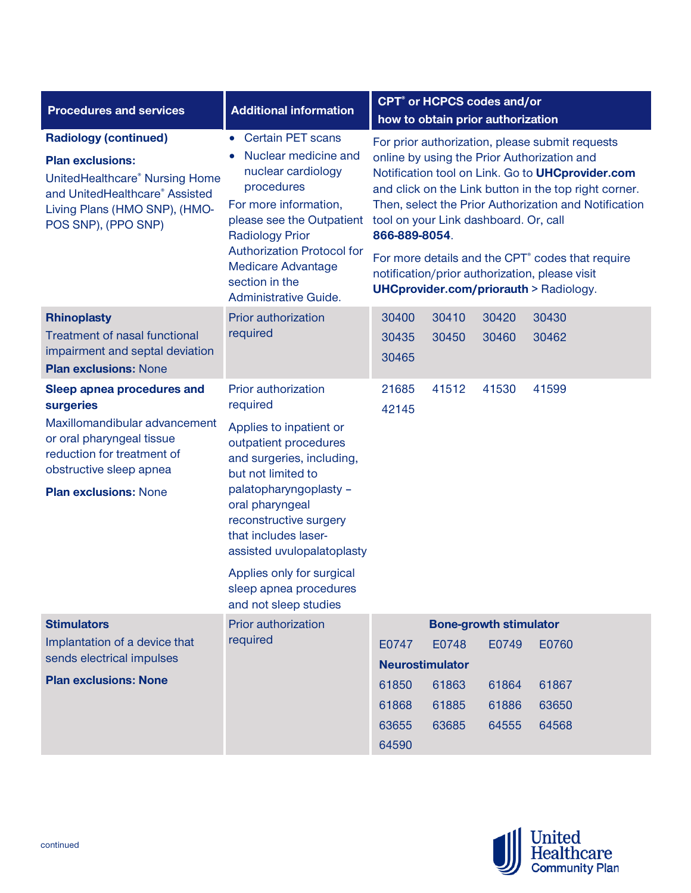| <b>Procedures and services</b>                                                                                                                                                                 | <b>Additional information</b>                                                                                                                                                                                                                                                                                                                       | CPT <sup>®</sup> or HCPCS codes and/or<br>how to obtain prior authorization                                                                                                                                                                                                                                                                                                                                                                                                                          |                |                               |                |
|------------------------------------------------------------------------------------------------------------------------------------------------------------------------------------------------|-----------------------------------------------------------------------------------------------------------------------------------------------------------------------------------------------------------------------------------------------------------------------------------------------------------------------------------------------------|------------------------------------------------------------------------------------------------------------------------------------------------------------------------------------------------------------------------------------------------------------------------------------------------------------------------------------------------------------------------------------------------------------------------------------------------------------------------------------------------------|----------------|-------------------------------|----------------|
| <b>Radiology (continued)</b><br><b>Plan exclusions:</b><br>UnitedHealthcare® Nursing Home<br>and UnitedHealthcare® Assisted<br>Living Plans (HMO SNP), (HMO-<br>POS SNP), (PPO SNP)            | <b>Certain PET scans</b><br>$\bullet$<br>Nuclear medicine and<br>nuclear cardiology<br>procedures<br>For more information,<br>please see the Outpatient<br><b>Radiology Prior</b><br><b>Authorization Protocol for</b><br><b>Medicare Advantage</b><br>section in the<br>Administrative Guide.                                                      | For prior authorization, please submit requests<br>online by using the Prior Authorization and<br>Notification tool on Link. Go to UHCprovider.com<br>and click on the Link button in the top right corner.<br>Then, select the Prior Authorization and Notification<br>tool on your Link dashboard. Or, call<br>866-889-8054.<br>For more details and the CPT <sup>®</sup> codes that require<br>notification/prior authorization, please visit<br><b>UHCprovider.com/priorauth &gt; Radiology.</b> |                |                               |                |
| <b>Rhinoplasty</b><br><b>Treatment of nasal functional</b><br>impairment and septal deviation<br><b>Plan exclusions: None</b>                                                                  | Prior authorization<br>required                                                                                                                                                                                                                                                                                                                     | 30400<br>30435<br>30465                                                                                                                                                                                                                                                                                                                                                                                                                                                                              | 30410<br>30450 | 30420<br>30460                | 30430<br>30462 |
| Sleep apnea procedures and<br>surgeries<br>Maxillomandibular advancement<br>or oral pharyngeal tissue<br>reduction for treatment of<br>obstructive sleep apnea<br><b>Plan exclusions: None</b> | Prior authorization<br>required<br>Applies to inpatient or<br>outpatient procedures<br>and surgeries, including,<br>but not limited to<br>palatopharyngoplasty -<br>oral pharyngeal<br>reconstructive surgery<br>that includes laser-<br>assisted uvulopalatoplasty<br>Applies only for surgical<br>sleep apnea procedures<br>and not sleep studies | 21685<br>42145                                                                                                                                                                                                                                                                                                                                                                                                                                                                                       | 41512          | 41530                         | 41599          |
| <b>Stimulators</b><br>Implantation of a device that                                                                                                                                            | Prior authorization<br>required                                                                                                                                                                                                                                                                                                                     |                                                                                                                                                                                                                                                                                                                                                                                                                                                                                                      |                | <b>Bone-growth stimulator</b> |                |
| sends electrical impulses                                                                                                                                                                      |                                                                                                                                                                                                                                                                                                                                                     | E0747<br><b>Neurostimulator</b>                                                                                                                                                                                                                                                                                                                                                                                                                                                                      | E0748          | E0749                         | E0760          |
| <b>Plan exclusions: None</b>                                                                                                                                                                   |                                                                                                                                                                                                                                                                                                                                                     | 61850                                                                                                                                                                                                                                                                                                                                                                                                                                                                                                | 61863          | 61864                         | 61867          |
|                                                                                                                                                                                                |                                                                                                                                                                                                                                                                                                                                                     | 61868                                                                                                                                                                                                                                                                                                                                                                                                                                                                                                | 61885          | 61886                         | 63650          |
|                                                                                                                                                                                                |                                                                                                                                                                                                                                                                                                                                                     | 63655                                                                                                                                                                                                                                                                                                                                                                                                                                                                                                | 63685          | 64555                         | 64568          |
|                                                                                                                                                                                                |                                                                                                                                                                                                                                                                                                                                                     | 64590                                                                                                                                                                                                                                                                                                                                                                                                                                                                                                |                |                               |                |

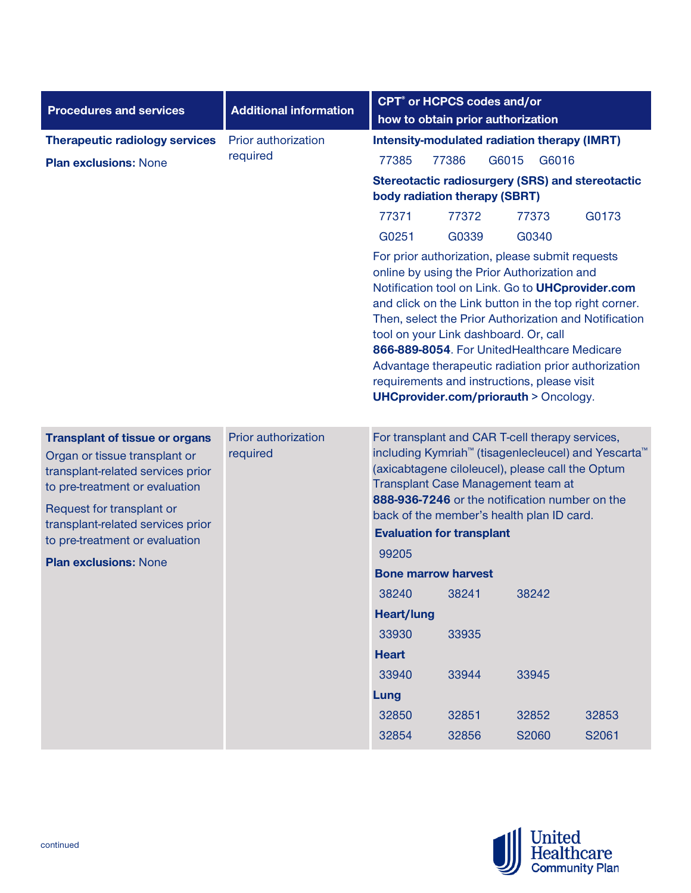| <b>Procedures and services</b>                                                                                                                                                                                                                    | <b>Additional information</b>   | CPT <sup>®</sup> or HCPCS codes and/or                                                                                                                                                                                                                                                                                                                                                                                                                                                                                |  |  |  |  |
|---------------------------------------------------------------------------------------------------------------------------------------------------------------------------------------------------------------------------------------------------|---------------------------------|-----------------------------------------------------------------------------------------------------------------------------------------------------------------------------------------------------------------------------------------------------------------------------------------------------------------------------------------------------------------------------------------------------------------------------------------------------------------------------------------------------------------------|--|--|--|--|
|                                                                                                                                                                                                                                                   |                                 | how to obtain prior authorization                                                                                                                                                                                                                                                                                                                                                                                                                                                                                     |  |  |  |  |
| <b>Therapeutic radiology services</b>                                                                                                                                                                                                             | Prior authorization             | <b>Intensity-modulated radiation therapy (IMRT)</b>                                                                                                                                                                                                                                                                                                                                                                                                                                                                   |  |  |  |  |
| <b>Plan exclusions: None</b>                                                                                                                                                                                                                      | required                        | 77386<br>77385<br>G6015<br>G6016                                                                                                                                                                                                                                                                                                                                                                                                                                                                                      |  |  |  |  |
|                                                                                                                                                                                                                                                   |                                 | <b>Stereotactic radiosurgery (SRS) and stereotactic</b><br>body radiation therapy (SBRT)                                                                                                                                                                                                                                                                                                                                                                                                                              |  |  |  |  |
|                                                                                                                                                                                                                                                   |                                 | 77371<br>77372<br>77373<br>G0173                                                                                                                                                                                                                                                                                                                                                                                                                                                                                      |  |  |  |  |
|                                                                                                                                                                                                                                                   |                                 | G0340<br>G0251<br>G0339                                                                                                                                                                                                                                                                                                                                                                                                                                                                                               |  |  |  |  |
|                                                                                                                                                                                                                                                   |                                 | For prior authorization, please submit requests<br>online by using the Prior Authorization and<br>Notification tool on Link. Go to UHCprovider.com<br>and click on the Link button in the top right corner.<br>Then, select the Prior Authorization and Notification<br>tool on your Link dashboard. Or, call<br>866-889-8054. For UnitedHealthcare Medicare<br>Advantage therapeutic radiation prior authorization<br>requirements and instructions, please visit<br><b>UHCprovider.com/priorauth &gt; Oncology.</b> |  |  |  |  |
| <b>Transplant of tissue or organs</b><br>Organ or tissue transplant or<br>transplant-related services prior<br>to pre-treatment or evaluation<br>Request for transplant or<br>transplant-related services prior<br>to pre-treatment or evaluation | Prior authorization<br>required | For transplant and CAR T-cell therapy services,<br>including Kymriah <sup>™</sup> (tisagenlecleucel) and Yescarta <sup>™</sup><br>(axicabtagene ciloleucel), please call the Optum<br>Transplant Case Management team at<br>888-936-7246 or the notification number on the<br>back of the member's health plan ID card.<br><b>Evaluation for transplant</b>                                                                                                                                                           |  |  |  |  |
| <b>Plan exclusions: None</b>                                                                                                                                                                                                                      |                                 | 99205                                                                                                                                                                                                                                                                                                                                                                                                                                                                                                                 |  |  |  |  |
|                                                                                                                                                                                                                                                   |                                 | <b>Bone marrow harvest</b>                                                                                                                                                                                                                                                                                                                                                                                                                                                                                            |  |  |  |  |
|                                                                                                                                                                                                                                                   |                                 | 38240<br>38241<br>38242<br><b>Heart/lung</b>                                                                                                                                                                                                                                                                                                                                                                                                                                                                          |  |  |  |  |
|                                                                                                                                                                                                                                                   |                                 | 33930<br>33935                                                                                                                                                                                                                                                                                                                                                                                                                                                                                                        |  |  |  |  |
|                                                                                                                                                                                                                                                   |                                 | <b>Heart</b>                                                                                                                                                                                                                                                                                                                                                                                                                                                                                                          |  |  |  |  |
|                                                                                                                                                                                                                                                   |                                 | 33940<br>33944<br>33945                                                                                                                                                                                                                                                                                                                                                                                                                                                                                               |  |  |  |  |
|                                                                                                                                                                                                                                                   |                                 | <b>Lung</b>                                                                                                                                                                                                                                                                                                                                                                                                                                                                                                           |  |  |  |  |
|                                                                                                                                                                                                                                                   |                                 | 32851<br>32852<br>32853<br>32850                                                                                                                                                                                                                                                                                                                                                                                                                                                                                      |  |  |  |  |
|                                                                                                                                                                                                                                                   |                                 | S2061<br>32854<br>32856<br>S2060                                                                                                                                                                                                                                                                                                                                                                                                                                                                                      |  |  |  |  |